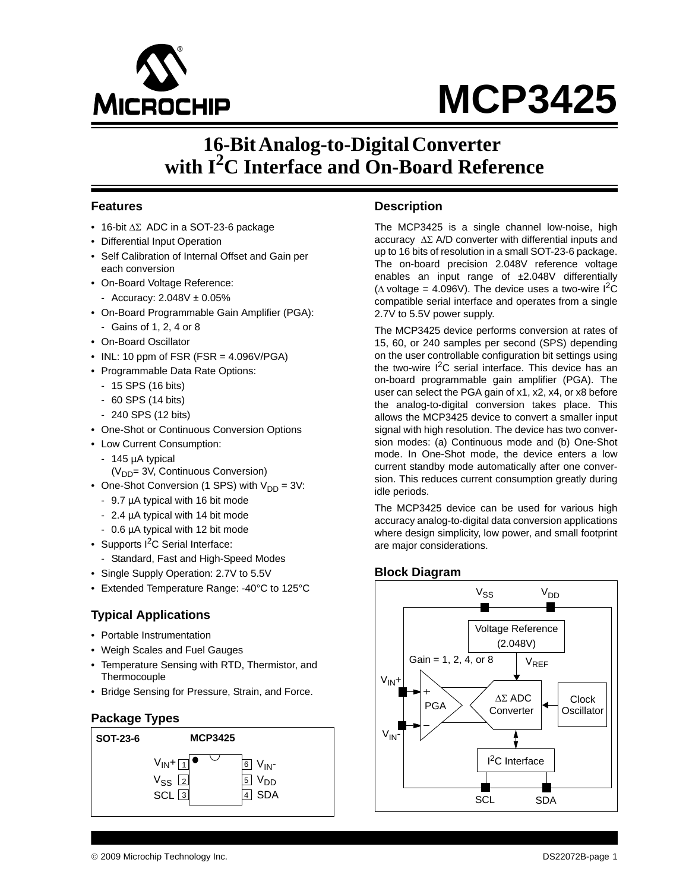

# **MCP3425**

# **16-Bit Analog-to-Digital Converter with I2 C Interface and On-Board Reference**

#### **Features**

- 16-bit ΔΣ ADC in a SOT-23-6 package
- Differential Input Operation
- Self Calibration of Internal Offset and Gain per each conversion
- On-Board Voltage Reference:
	- Accuracy:  $2.048V \pm 0.05%$
- On-Board Programmable Gain Amplifier (PGA): - Gains of 1, 2, 4 or 8
- On-Board Oscillator
- INL: 10 ppm of FSR (FSR =  $4.096V/PGA$ )
- Programmable Data Rate Options:
	- 15 SPS (16 bits)
	- 60 SPS (14 bits)
	- 240 SPS (12 bits)
- One-Shot or Continuous Conversion Options
- Low Current Consumption:
- 145 µA typical  $(V<sub>DD</sub>= 3V, Continuous Conversion)$
- One-Shot Conversion (1 SPS) with  $V_{DD} = 3V$ :
	- 9.7 µA typical with 16 bit mode
	- 2.4 µA typical with 14 bit mode
	- 0.6 µA typical with 12 bit mode
- Supports I<sup>2</sup>C Serial Interface:
	- Standard, Fast and High-Speed Modes
- Single Supply Operation: 2.7V to 5.5V
- Extended Temperature Range: -40°C to 125°C

# **Typical Applications**

- Portable Instrumentation
- Weigh Scales and Fuel Gauges
- Temperature Sensing with RTD, Thermistor, and **Thermocouple**
- Bridge Sensing for Pressure, Strain, and Force.

# **Package Types**



# **Description**

The MCP3425 is a single channel low-noise, high accuracy ΔΣ A/D converter with differential inputs and up to 16 bits of resolution in a small SOT-23-6 package. The on-board precision 2.048V reference voltage enables an input range of ±2.048V differentially ( $\triangle$  voltage = 4.096V). The device uses a two-wire  $1^2C$ compatible serial interface and operates from a single 2.7V to 5.5V power supply.

The MCP3425 device performs conversion at rates of 15, 60, or 240 samples per second (SPS) depending on the user controllable configuration bit settings using the two-wire  $I^2C$  serial interface. This device has an on-board programmable gain amplifier (PGA). The user can select the PGA gain of x1, x2, x4, or x8 before the analog-to-digital conversion takes place. This allows the MCP3425 device to convert a smaller input signal with high resolution. The device has two conversion modes: (a) Continuous mode and (b) One-Shot mode. In One-Shot mode, the device enters a low current standby mode automatically after one conversion. This reduces current consumption greatly during idle periods.

The MCP3425 device can be used for various high accuracy analog-to-digital data conversion applications where design simplicity, low power, and small footprint are major considerations.

#### **Block Diagram**

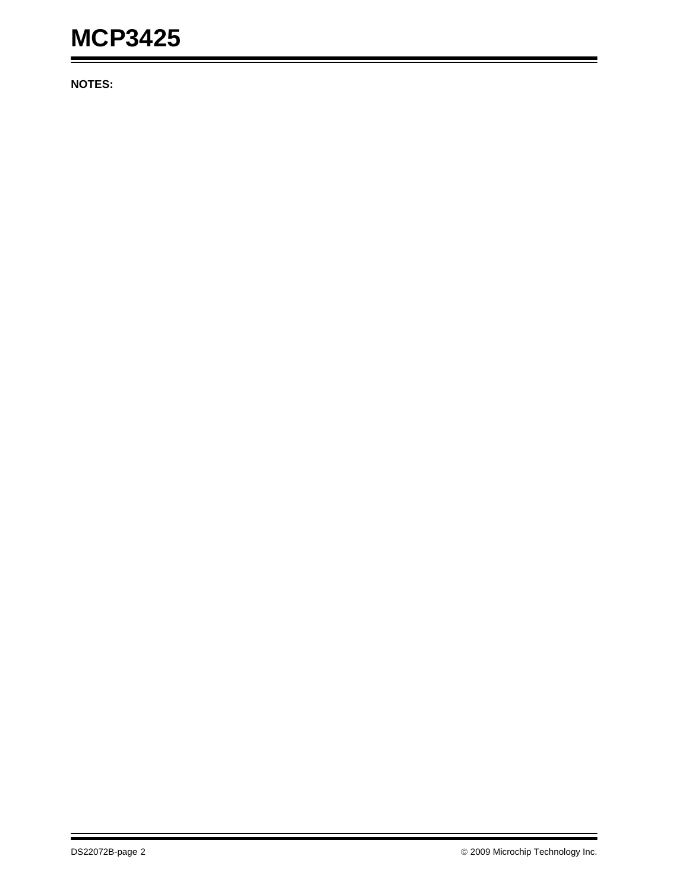**NOTES:**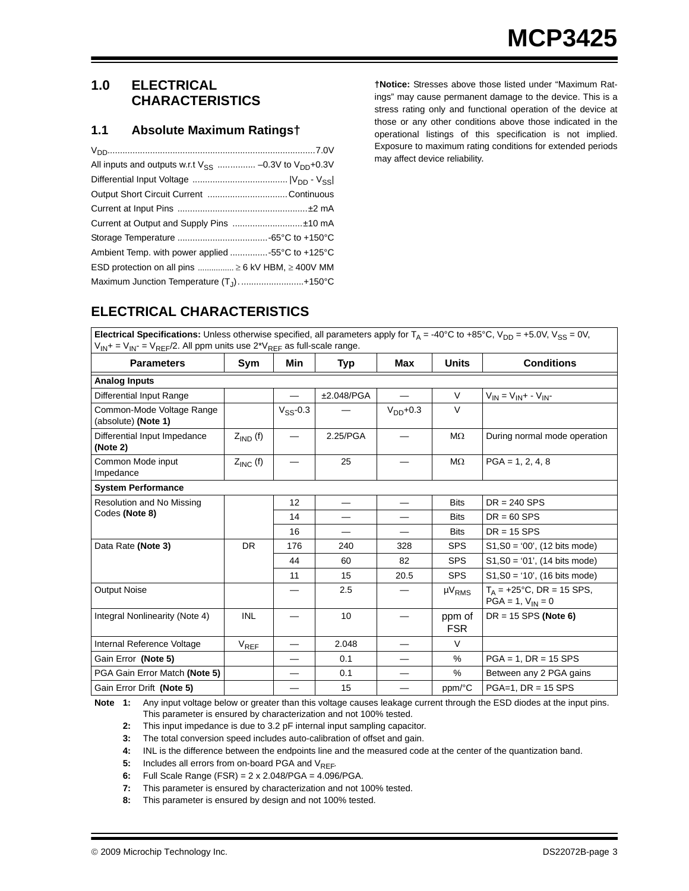# <span id="page-2-8"></span>**1.0 ELECTRICAL CHARACTERISTICS**

# **1.1 Absolute Maximum Ratings†**

| All inputs and outputs w.r.t $V_{SS}$ -0.3V to $V_{DD}$ +0.3V |
|---------------------------------------------------------------|
|                                                               |
|                                                               |
|                                                               |
| Current at Output and Supply Pins ±10 mA                      |
|                                                               |
| Ambient Temp. with power applied 55°C to +125°C               |
| ESD protection on all pins $\geq 6$ kV HBM, $\geq 400$ V MM   |
| Maximum Junction Temperature $(T_1)$ +150°C                   |

**†Notice:** Stresses above those listed under "Maximum Ratings" may cause permanent damage to the device. This is a stress rating only and functional operation of the device at those or any other conditions above those indicated in the operational listings of this specification is not implied. Exposure to maximum rating conditions for extended periods may affect device reliability.

# **ELECTRICAL CHARACTERISTICS**

**Electrical Specifications:** Unless otherwise specified, all parameters apply for  $T_A = -40^{\circ}C$  to  $+85^{\circ}C$ ,  $V_{DD} = +5.0V$ ,  $V_{SS} = 0V$ ,  $V_{IN}$ + =  $V_{IN}$  =  $V_{REF}/2$ . All ppm units use  $2^*V_{REF}$  as full-scale range.

| <b>Parameters</b>                                | Sym           | Min           | Typ                      | Max       | <b>Units</b>         | <b>Conditions</b>                                     |
|--------------------------------------------------|---------------|---------------|--------------------------|-----------|----------------------|-------------------------------------------------------|
| <b>Analog Inputs</b>                             |               |               |                          |           |                      |                                                       |
| Differential Input Range                         |               |               | ±2.048/PGA               |           | $\vee$               | $V_{IN} = V_{IN} + - V_{IN}$                          |
| Common-Mode Voltage Range<br>(absolute) (Note 1) |               | $V_{SS}$ -0.3 |                          | $VDD+0.3$ | $\vee$               |                                                       |
| Differential Input Impedance<br>(Note 2)         | $Z_{IND}$ (f) |               | 2.25/PGA                 |           | $M\Omega$            | During normal mode operation                          |
| Common Mode input<br>Impedance                   | $Z_{INC}$ (f) |               | 25                       |           | $M\Omega$            | $PGA = 1, 2, 4, 8$                                    |
| <b>System Performance</b>                        |               |               |                          |           |                      |                                                       |
| Resolution and No Missing                        |               | 12            | $\overline{\phantom{0}}$ |           | <b>Bits</b>          | $DR = 240$ SPS                                        |
| Codes (Note 8)                                   |               | 14            |                          |           | <b>Bits</b>          | $DR = 60$ SPS                                         |
|                                                  |               | 16            |                          |           | <b>Bits</b>          | $DR = 15$ SPS                                         |
| Data Rate (Note 3)                               | <b>DR</b>     | 176           | 240                      | 328       | <b>SPS</b>           | $S1, S0 = '00', (12 \text{ bits mode})$               |
|                                                  |               | 44            | 60                       | 82        | <b>SPS</b>           | $S1, SO = '01', (14 bits mode)$                       |
|                                                  |               | 11            | 15                       | 20.5      | <b>SPS</b>           | $S1, SO = '10', (16 bits mode)$                       |
| <b>Output Noise</b>                              |               |               | 2.5                      |           | $\mu$ <sub>RMS</sub> | $T_A = +25$ °C, DR = 15 SPS,<br>$PGA = 1, V_{IN} = 0$ |
| Integral Nonlinearity (Note 4)                   | <b>INL</b>    |               | 10                       |           | ppm of<br><b>FSR</b> | $DR = 15$ SPS (Note 6)                                |
| Internal Reference Voltage                       | $V_{REE}$     |               | 2.048                    |           | $\vee$               |                                                       |
| Gain Error (Note 5)                              |               |               | 0.1                      |           | %                    | $PGA = 1$ , $DR = 15$ SPS                             |
| PGA Gain Error Match (Note 5)                    |               |               | 0.1                      | —         | %                    | Between any 2 PGA gains                               |
| Gain Error Drift (Note 5)                        |               |               | 15                       |           | ppm/°C               | $PGA=1$ . DR = 15 SPS                                 |

<span id="page-2-1"></span><span id="page-2-0"></span>**Note 1:** Any input voltage below or greater than this voltage causes leakage current through the ESD diodes at the input pins. This parameter is ensured by characterization and not 100% tested.

**2:** This input impedance is due to 3.2 pF internal input sampling capacitor.

<span id="page-2-3"></span>**3:** The total conversion speed includes auto-calibration of offset and gain.

<span id="page-2-4"></span>**4:** INL is the difference between the endpoints line and the measured code at the center of the quantization band.

<span id="page-2-6"></span>**5:** Includes all errors from on-board PGA and V<sub>RFF</sub>.

<span id="page-2-5"></span>**6:** Full Scale Range (FSR) = 2 x 2.048/PGA = 4.096/PGA.

<span id="page-2-7"></span>**7:** This parameter is ensured by characterization and not 100% tested.

<span id="page-2-2"></span>**8:** This parameter is ensured by design and not 100% tested.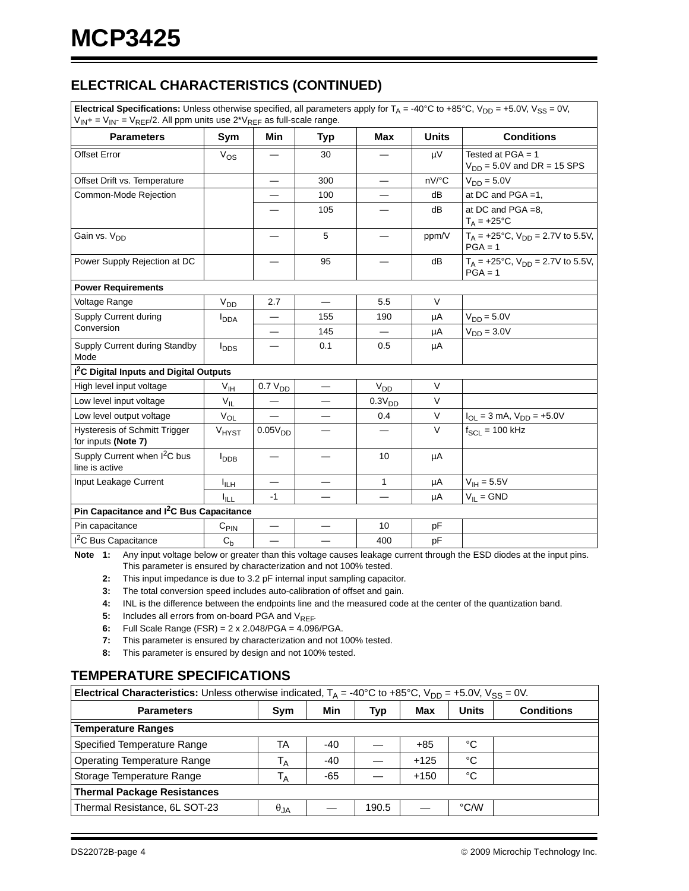# **ELECTRICAL CHARACTERISTICS (CONTINUED)**

**Electrical Specifications:** Unless otherwise specified, all parameters apply for  $T_A = -40^\circ \text{C}$  to  $+85^\circ \text{C}$ ,  $V_{DD} = +5.0 \text{V}$ ,  $V_{SS} = 0 \text{V}$ ,  $V_{\text{IN}}$ + =  $V_{\text{IN}}$  =  $V_{\text{REF}}$ /2. All ppm units use 2\* $V_{\text{REF}}$  as full-scale range.

| <b>Parameters</b>                                          | Sym                     | Min                 | Typ | Max                | <b>Units</b> | <b>Conditions</b>                                      |
|------------------------------------------------------------|-------------------------|---------------------|-----|--------------------|--------------|--------------------------------------------------------|
| Offset Error                                               | $V_{OS}$                |                     | 30  |                    | μV           | Tested at $PGA = 1$<br>$V_{DD}$ = 5.0V and DR = 15 SPS |
| Offset Drift vs. Temperature                               |                         |                     | 300 |                    | nV/°C        | $V_{DD} = 5.0 V$                                       |
| Common-Mode Rejection                                      |                         |                     | 100 |                    | dB           | at DC and $PGA = 1$ ,                                  |
|                                                            |                         |                     | 105 |                    | dB           | at DC and PGA =8,<br>$T_A = +25$ °C                    |
| Gain vs. V <sub>DD</sub>                                   |                         |                     | 5   |                    | ppm/V        | $T_A$ = +25°C, $V_{DD}$ = 2.7V to 5.5V,<br>$PGA = 1$   |
| Power Supply Rejection at DC                               |                         |                     | 95  |                    | dB           | $T_A$ = +25°C, $V_{DD}$ = 2.7V to 5.5V,<br>$PGA = 1$   |
| <b>Power Requirements</b>                                  |                         |                     |     |                    |              |                                                        |
| Voltage Range                                              | $V_{DD}$                | 2.7                 |     | 5.5                | V            |                                                        |
| Supply Current during                                      | I <sub>DDA</sub>        |                     | 155 | 190                | μA           | $V_{DD} = 5.0V$                                        |
| Conversion                                                 |                         |                     | 145 | $\equiv$           | μA           | $V_{DD} = 3.0V$                                        |
| Supply Current during Standby<br>Mode                      | $I_{\text{DDS}}$        |                     | 0.1 | 0.5                | μA           |                                                        |
| I <sup>2</sup> C Digital Inputs and Digital Outputs        |                         |                     |     |                    |              |                                                        |
| High level input voltage                                   | $V_{IH}$                | 0.7 V <sub>DD</sub> |     | $V_{DD}$           | V            |                                                        |
| Low level input voltage                                    | $V_{IL}$                |                     |     | 0.3V <sub>DD</sub> | V            |                                                        |
| Low level output voltage                                   | $V_{OL}$                |                     |     | 0.4                | V            | $I_{OL} = 3$ mA, $V_{DD} = +5.0V$                      |
| Hysteresis of Schmitt Trigger<br>for inputs (Note 7)       | VHYST                   | 0.05V <sub>DD</sub> |     |                    | V            | $f_{SCL}$ = 100 kHz                                    |
| Supply Current when I <sup>2</sup> C bus<br>line is active | <b>I</b> <sub>DDB</sub> |                     |     | 10                 | μA           |                                                        |
| Input Leakage Current                                      | Ӏ∟н                     |                     |     | 1                  | μA           | $V_{\text{IH}} = 5.5V$                                 |
|                                                            | I <sub>ILL</sub>        | $-1$                |     |                    | μA           | $V_{IL} = GND$                                         |
| Pin Capacitance and I <sup>2</sup> C Bus Capacitance       |                         |                     |     |                    |              |                                                        |
| Pin capacitance                                            | $C_{\underline{PIN}}$   |                     |     | 10                 | pF           |                                                        |
| <sup>2</sup> C Bus Capacitance                             | $C_{b}$                 |                     |     | 400                | pF           |                                                        |

**Note 1:** Any input voltage below or greater than this voltage causes leakage current through the ESD diodes at the input pins. This parameter is ensured by characterization and not 100% tested.

**2:** This input impedance is due to 3.2 pF internal input sampling capacitor.

**3:** The total conversion speed includes auto-calibration of offset and gain.

**4:** INL is the difference between the endpoints line and the measured code at the center of the quantization band.

5: Includes all errors from on-board PGA and V<sub>REF</sub>.

**6:** Full Scale Range (FSR) = 2 x 2.048/PGA = 4.096/PGA.

**7:** This parameter is ensured by characterization and not 100% tested.

**8:** This parameter is ensured by design and not 100% tested.

# **TEMPERATURE SPECIFICATIONS**

| <b>Electrical Characteristics:</b> Unless otherwise indicated, $T_A = -40^{\circ}C$ to $+85^{\circ}C$ , $V_{DD} = +5.0V$ , $V_{SS} = 0V$ . |                        |       |       |            |              |                   |
|--------------------------------------------------------------------------------------------------------------------------------------------|------------------------|-------|-------|------------|--------------|-------------------|
| <b>Parameters</b>                                                                                                                          | Sym                    | Min   | Typ   | <b>Max</b> | <b>Units</b> | <b>Conditions</b> |
| <b>Temperature Ranges</b>                                                                                                                  |                        |       |       |            |              |                   |
| Specified Temperature Range                                                                                                                | TA                     | -40   |       | $+85$      | °C           |                   |
| <b>Operating Temperature Range</b>                                                                                                         | $^{\mathsf{I}}$ A      | $-40$ |       | $+125$     | °C           |                   |
| Storage Temperature Range                                                                                                                  | ١A                     | -65   |       | $+150$     | °C           |                   |
| <b>Thermal Package Resistances</b>                                                                                                         |                        |       |       |            |              |                   |
| Thermal Resistance, 6L SOT-23                                                                                                              | $\theta_{\mathsf{JA}}$ |       | 190.5 |            | °C/W         |                   |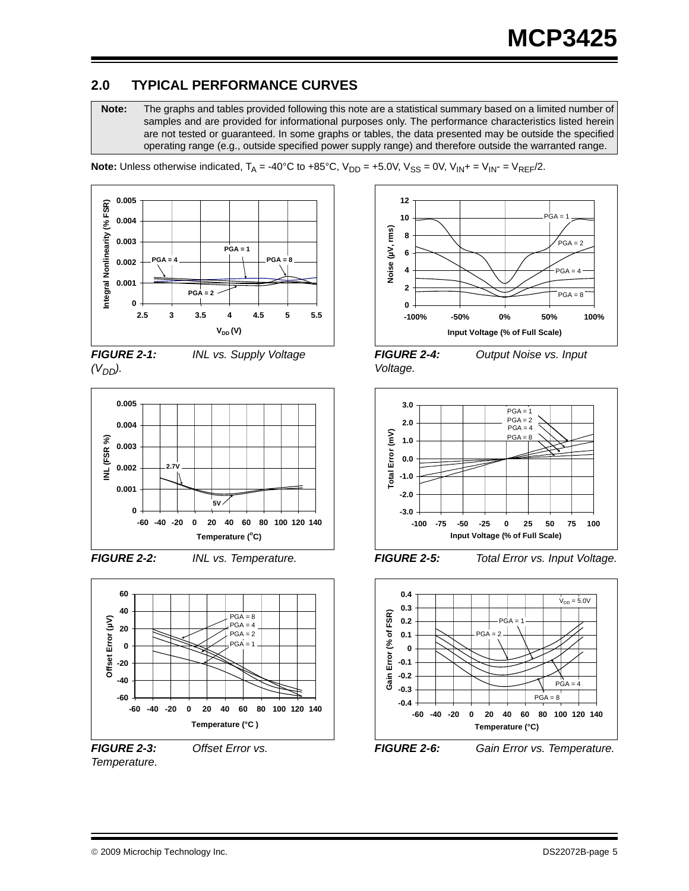# **2.0 TYPICAL PERFORMANCE CURVES**

**Note:** The graphs and tables provided following this note are a statistical summary based on a limited number of samples and are provided for informational purposes only. The performance characteristics listed herein are not tested or guaranteed. In some graphs or tables, the data presented may be outside the specified operating range (e.g., outside specified power supply range) and therefore outside the warranted range.

**Note:** Unless otherwise indicated,  $T_A = -40^{\circ}C$  to  $+85^{\circ}C$ ,  $V_{DD} = +5.0V$ ,  $V_{SS} = 0V$ ,  $V_{IN} = V_{IN} = V_{REF}/2$ .



*FIGURE 2-1: INL vs. Supply Voltage*   $(V_{DD})$ .





*FIGURE 2-2: INL vs. Temperature.*



*Temperature.*





*FIGURE 2-4: Output Noise vs. Input Voltage.*



*FIGURE 2-5: Total Error vs. Input Voltage.*



*FIGURE 2-6: Gain Error vs. Temperature.*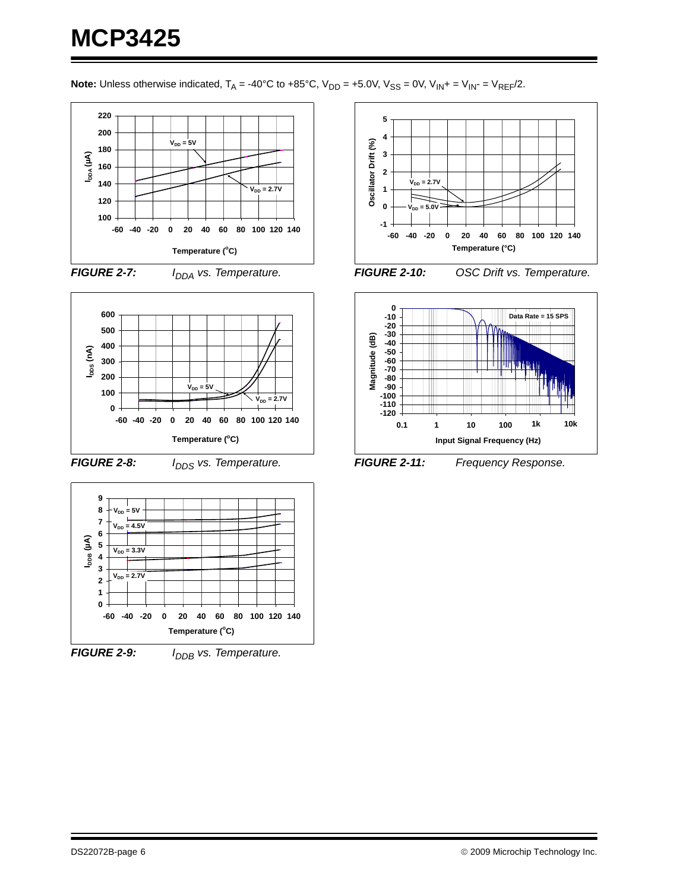**Note:** Unless otherwise indicated,  $T_A = -40^{\circ}C$  to  $+85^{\circ}C$ ,  $V_{DD} = +5.0V$ ,  $V_{SS} = 0V$ ,  $V_{IN} = V_{IN} = V_{REF}/2$ .









*FIGURE 2-8: I<sub>DDS</sub> vs. Temperature.* 





**FIGURE 2-9:** *I<sub>DDB</sub>* vs. Temperature.









<span id="page-5-0"></span>*FIGURE 2-11: Frequency Response.*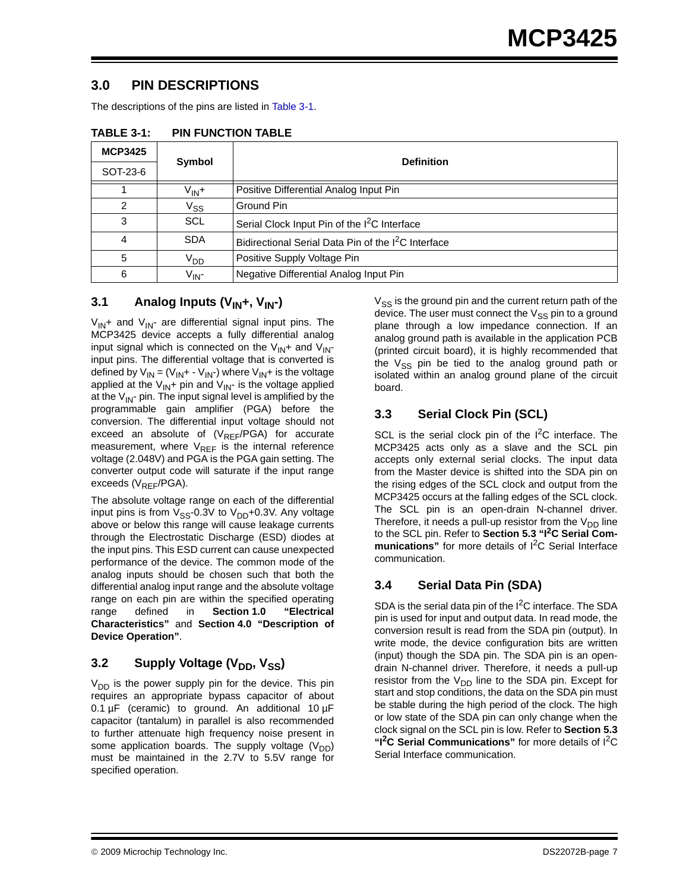# **3.0 PIN DESCRIPTIONS**

The descriptions of the pins are listed in [Table 3-1.](#page-6-0)

| <b>MCP3425</b> | <b>Symbol</b>     |                                                                 |
|----------------|-------------------|-----------------------------------------------------------------|
| SOT-23-6       |                   | <b>Definition</b>                                               |
|                | V <sub>IN</sub> + | Positive Differential Analog Input Pin                          |
| 2              | $V_{SS}$          | Ground Pin                                                      |
| 3              | <b>SCL</b>        | Serial Clock Input Pin of the I <sup>2</sup> C Interface        |
| 4              | <b>SDA</b>        | Bidirectional Serial Data Pin of the I <sup>2</sup> C Interface |
| 5              | V <sub>DD</sub>   | Positive Supply Voltage Pin                                     |
| 6              | $V_{IN}$ -        | Negative Differential Analog Input Pin                          |

<span id="page-6-0"></span>**TABLE 3-1: PIN FUNCTION TABLE** 

# 3.1 **Analog Inputs (V<sub>IN</sub>+, V<sub>IN</sub>-)**

 $V_{IN}$ + and  $V_{IN}$ - are differential signal input pins. The MCP3425 device accepts a fully differential analog input signal which is connected on the  $V_{IN}$ + and  $V_{IN}$ input pins. The differential voltage that is converted is defined by  $V_{IN} = (V_{IN} + -V_{IN})$  where  $V_{IN} +$  is the voltage applied at the  $V_{IN}$ + pin and  $V_{IN}$ - is the voltage applied at the  $V_{IN}$ - pin. The input signal level is amplified by the programmable gain amplifier (PGA) before the conversion. The differential input voltage should not exceed an absolute of  $(V_{REF}/PGA)$  for accurate measurement, where  $V_{REF}$  is the internal reference voltage (2.048V) and PGA is the PGA gain setting. The converter output code will saturate if the input range exceeds  $(V_{RFF}/PGA)$ .

The absolute voltage range on each of the differential input pins is from  $V_{SS}$ -0.3V to  $V_{DD}$ +0.3V. Any voltage above or below this range will cause leakage currents through the Electrostatic Discharge (ESD) diodes at the input pins. This ESD current can cause unexpected performance of the device. The common mode of the analog inputs should be chosen such that both the differential analog input range and the absolute voltage range on each pin are within the specified operating range defined in **[Section 1.0 "Electrical](#page-2-8) [Characteristics"](#page-2-8)** and **[Section 4.0 "Description of](#page-8-0) [Device Operation"](#page-8-0)**.

# **3.2 Supply Voltage (V<sub>DD</sub>, V<sub>SS</sub>)**

 $V_{DD}$  is the power supply pin for the device. This pin requires an appropriate bypass capacitor of about 0.1  $\mu$ F (ceramic) to ground. An additional 10  $\mu$ F capacitor (tantalum) in parallel is also recommended to further attenuate high frequency noise present in some application boards. The supply voltage  $(V_{DD})$ must be maintained in the 2.7V to 5.5V range for specified operation.

 $V_{SS}$  is the ground pin and the current return path of the device. The user must connect the  $V_{SS}$  pin to a ground plane through a low impedance connection. If an analog ground path is available in the application PCB (printed circuit board), it is highly recommended that the  $V_{SS}$  pin be tied to the analog ground path or isolated within an analog ground plane of the circuit board.

# **3.3 Serial Clock Pin (SCL)**

SCL is the serial clock pin of the  $I^2C$  interface. The MCP3425 acts only as a slave and the SCL pin accepts only external serial clocks. The input data from the Master device is shifted into the SDA pin on the rising edges of the SCL clock and output from the MCP3425 occurs at the falling edges of the SCL clock. The SCL pin is an open-drain N-channel driver. Therefore, it needs a pull-up resistor from the  $V_{DD}$  line to the SCL pin. Refer to **[Section 5.3 "I2C Serial Com](#page-14-0)munications**" for more details of  $I^2C$  Serial Interface communication.

# **3.4 Serial Data Pin (SDA)**

SDA is the serial data pin of the  $I^2C$  interface. The SDA pin is used for input and output data. In read mode, the conversion result is read from the SDA pin (output). In write mode, the device configuration bits are written (input) though the SDA pin. The SDA pin is an opendrain N-channel driver. Therefore, it needs a pull-up resistor from the  $V_{DD}$  line to the SDA pin. Except for start and stop conditions, the data on the SDA pin must be stable during the high period of the clock. The high or low state of the SDA pin can only change when the clock signal on the SCL pin is low. Refer to **[Section 5.3](#page-14-0) "I<sup>2</sup>C Serial Communications"** for more details of I<sup>2</sup>C Serial Interface communication.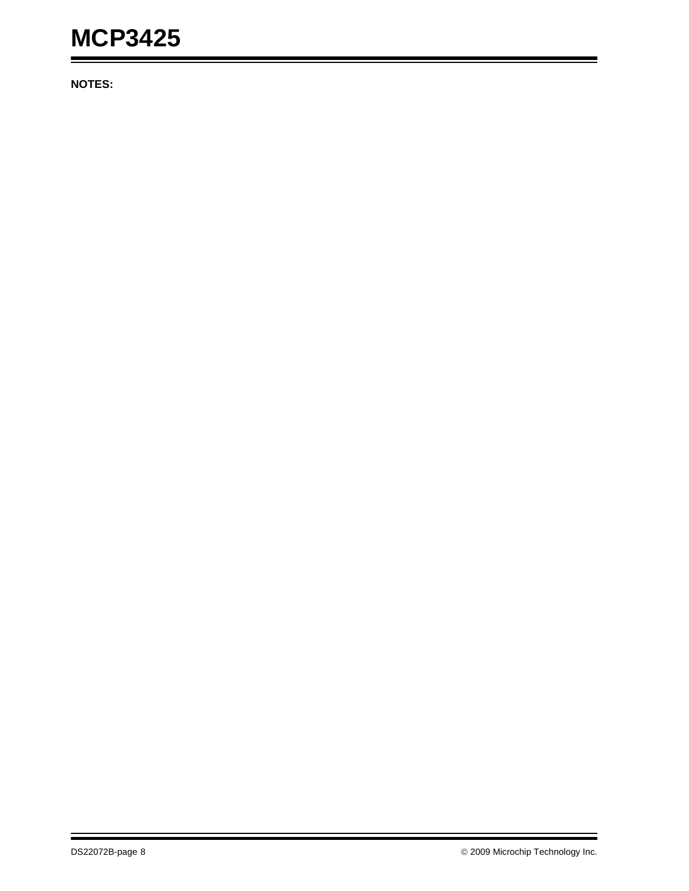**NOTES:**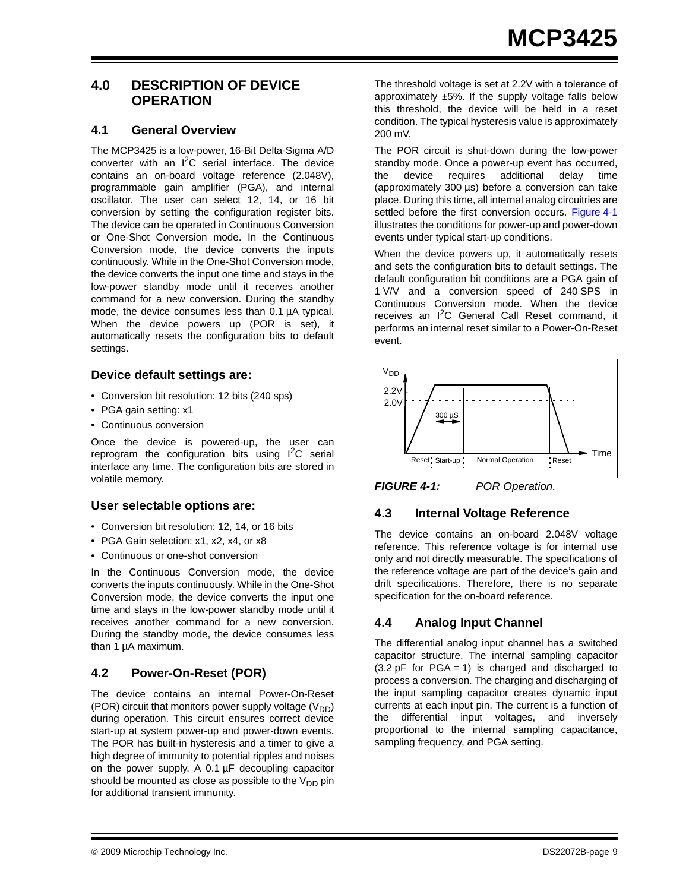# <span id="page-8-0"></span>**4.0 DESCRIPTION OF DEVICE OPERATION**

#### <span id="page-8-2"></span>**4.1 General Overview**

The MCP3425 is a low-power, 16-Bit Delta-Sigma A/D converter with an  $I^2C$  serial interface. The device contains an on-board voltage reference (2.048V), programmable gain amplifier (PGA), and internal oscillator. The user can select 12, 14, or 16 bit conversion by setting the configuration register bits. The device can be operated in Continuous Conversion or One-Shot Conversion mode. In the Continuous Conversion mode, the device converts the inputs continuously. While in the One-Shot Conversion mode, the device converts the input one time and stays in the low-power standby mode until it receives another command for a new conversion. During the standby mode, the device consumes less than 0.1 µA typical. When the device powers up (POR is set), it automatically resets the configuration bits to default settings.

#### **Device default settings are:**

- Conversion bit resolution: 12 bits (240 sps)
- PGA gain setting: x1
- Continuous conversion

Once the device is powered-up, the user can reprogram the configuration bits using  $I^2C$  serial interface any time. The configuration bits are stored in volatile memory.

#### **User selectable options are:**

- Conversion bit resolution: 12, 14, or 16 bits
- PGA Gain selection: x1, x2, x4, or x8
- Continuous or one-shot conversion

In the Continuous Conversion mode, the device converts the inputs continuously. While in the One-Shot Conversion mode, the device converts the input one time and stays in the low-power standby mode until it receives another command for a new conversion. During the standby mode, the device consumes less than 1 µA maximum.

#### **4.2 Power-On-Reset (POR)**

The device contains an internal Power-On-Reset (POR) circuit that monitors power supply voltage  $(V_{DD})$ during operation. This circuit ensures correct device start-up at system power-up and power-down events. The POR has built-in hysteresis and a timer to give a high degree of immunity to potential ripples and noises on the power supply. A 0.1 µF decoupling capacitor should be mounted as close as possible to the  $V_{DD}$  pin for additional transient immunity.

The threshold voltage is set at 2.2V with a tolerance of approximately ±5%. If the supply voltage falls below this threshold, the device will be held in a reset condition. The typical hysteresis value is approximately 200 mV.

The POR circuit is shut-down during the low-power standby mode. Once a power-up event has occurred, the device requires additional delay time (approximately 300 µs) before a conversion can take place. During this time, all internal analog circuitries are settled before the first conversion occurs. [Figure 4-1](#page-8-1) illustrates the conditions for power-up and power-down events under typical start-up conditions.

When the device powers up, it automatically resets and sets the configuration bits to default settings. The default configuration bit conditions are a PGA gain of 1 V/V and a conversion speed of 240 SPS in Continuous Conversion mode. When the device receives an I<sup>2</sup>C General Call Reset command, it performs an internal reset similar to a Power-On-Reset event.



<span id="page-8-1"></span>*FIGURE 4-1: POR Operation.*

# **4.3 Internal Voltage Reference**

The device contains an on-board 2.048V voltage reference. This reference voltage is for internal use only and not directly measurable. The specifications of the reference voltage are part of the device's gain and drift specifications. Therefore, there is no separate specification for the on-board reference.

# **4.4 Analog Input Channel**

The differential analog input channel has a switched capacitor structure. The internal sampling capacitor  $(3.2 \text{ pF}$  for PGA = 1) is charged and discharged to process a conversion. The charging and discharging of the input sampling capacitor creates dynamic input currents at each input pin. The current is a function of the differential input voltages, and inversely proportional to the internal sampling capacitance, sampling frequency, and PGA setting.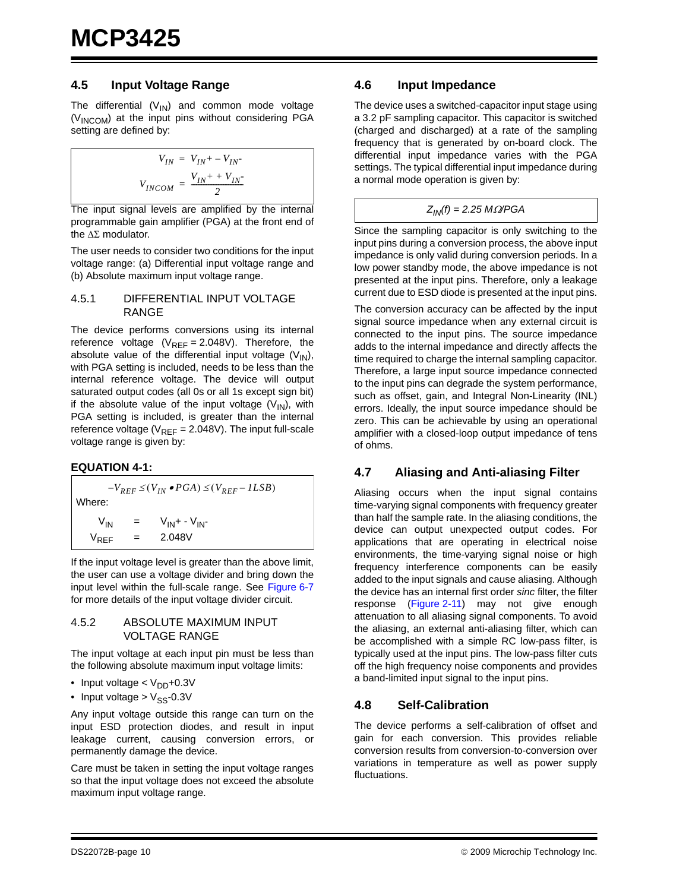#### <span id="page-9-0"></span>**4.5 Input Voltage Range**

The differential  $(V_{IN})$  and common mode voltage  $(V_{INCOM})$  at the input pins without considering PGA setting are defined by:

$$
V_{IN} = V_{IN} + -V_{IN}
$$

$$
V_{INCOM} = \frac{V_{IN} + V_{IN}}{2}
$$

The input signal levels are amplified by the internal programmable gain amplifier (PGA) at the front end of the ΔΣ modulator.

The user needs to consider two conditions for the input voltage range: (a) Differential input voltage range and (b) Absolute maximum input voltage range.

#### 4.5.1 DIFFERENTIAL INPUT VOLTAGE RANGE

The device performs conversions using its internal reference voltage ( $V_{REF} = 2.048V$ ). Therefore, the absolute value of the differential input voltage  $(V_{IN})$ , with PGA setting is included, needs to be less than the internal reference voltage. The device will output saturated output codes (all 0s or all 1s except sign bit) if the absolute value of the input voltage  $(V_{1N})$ , with PGA setting is included, is greater than the internal reference voltage ( $V_{REF}$  = 2.048V). The input full-scale voltage range is given by:

#### **EQUATION 4-1:**

Where:  $V_{IN}$  =  $V_{IN}$ + -  $V_{IN}$ - $V_{REF}$  = 2.048V  $-V_{REF} \leq (V_{IN} \bullet PGA) \leq (V_{REF} - ILSB)$ 

If the input voltage level is greater than the above limit, the user can use a voltage divider and bring down the input level within the full-scale range. See [Figure 6-7](#page-27-0) for more details of the input voltage divider circuit.

#### 4.5.2 ABSOLUTE MAXIMUM INPUT VOLTAGE RANGE

The input voltage at each input pin must be less than the following absolute maximum input voltage limits:

- Input voltage  $< V<sub>DD</sub>+0.3V$
- Input voltage  $> V<sub>SS</sub> -0.3V$

Any input voltage outside this range can turn on the input ESD protection diodes, and result in input leakage current, causing conversion errors, or permanently damage the device.

Care must be taken in setting the input voltage ranges so that the input voltage does not exceed the absolute maximum input voltage range.

#### **4.6 Input Impedance**

The device uses a switched-capacitor input stage using a 3.2 pF sampling capacitor. This capacitor is switched (charged and discharged) at a rate of the sampling frequency that is generated by on-board clock. The differential input impedance varies with the PGA settings. The typical differential input impedance during a normal mode operation is given by:

#### *ZIN(f) = 2.25 M*Ω*/PGA*

Since the sampling capacitor is only switching to the input pins during a conversion process, the above input impedance is only valid during conversion periods. In a low power standby mode, the above impedance is not presented at the input pins. Therefore, only a leakage current due to ESD diode is presented at the input pins.

The conversion accuracy can be affected by the input signal source impedance when any external circuit is connected to the input pins. The source impedance adds to the internal impedance and directly affects the time required to charge the internal sampling capacitor. Therefore, a large input source impedance connected to the input pins can degrade the system performance, such as offset, gain, and Integral Non-Linearity (INL) errors. Ideally, the input source impedance should be zero. This can be achievable by using an operational amplifier with a closed-loop output impedance of tens of ohms.

# **4.7 Aliasing and Anti-aliasing Filter**

Aliasing occurs when the input signal contains time-varying signal components with frequency greater than half the sample rate. In the aliasing conditions, the device can output unexpected output codes. For applications that are operating in electrical noise environments, the time-varying signal noise or high frequency interference components can be easily added to the input signals and cause aliasing. Although the device has an internal first order *sinc* filter, the filter response [\(Figure 2-11\)](#page-5-0) may not give enough attenuation to all aliasing signal components. To avoid the aliasing, an external anti-aliasing filter, which can be accomplished with a simple RC low-pass filter, is typically used at the input pins. The low-pass filter cuts off the high frequency noise components and provides a band-limited input signal to the input pins.

# **4.8 Self-Calibration**

The device performs a self-calibration of offset and gain for each conversion. This provides reliable conversion results from conversion-to-conversion over variations in temperature as well as power supply fluctuations.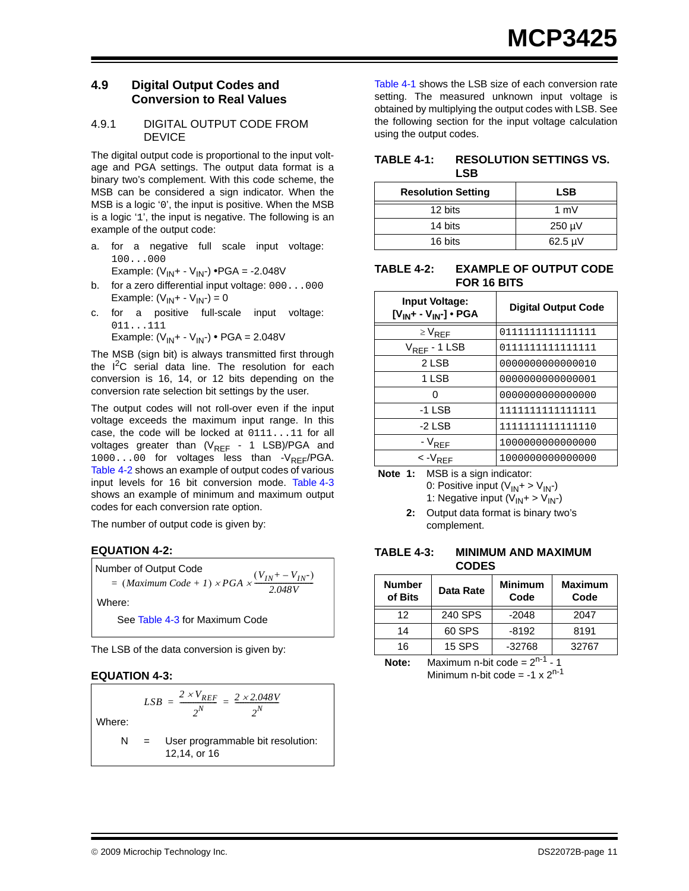## <span id="page-10-4"></span>**4.9 Digital Output Codes and Conversion to Real Values**

#### <span id="page-10-3"></span>4.9.1 DIGITAL OUTPUT CODE FROM DEVICE

The digital output code is proportional to the input voltage and PGA settings. The output data format is a binary two's complement. With this code scheme, the MSB can be considered a sign indicator. When the MSB is a logic '0', the input is positive. When the MSB is a logic '1', the input is negative. The following is an example of the output code:

a. for a negative full scale input voltage: 100...000

Example:  $(V_{IN} + -V_{IN})$  • PGA = -2.048V

- b. for a zero differential input voltage: 000...000 Example:  $(V_{IN} + -V_{IN}) = 0$
- c. for a positive full-scale input voltage: 011...111

Example:  $(V_{IN} + -V_{IN}) \cdot PGA = 2.048V$ 

The MSB (sign bit) is always transmitted first through the  $I^2C$  serial data line. The resolution for each conversion is 16, 14, or 12 bits depending on the conversion rate selection bit settings by the user.

The output codes will not roll-over even if the input voltage exceeds the maximum input range. In this case, the code will be locked at 0111...11 for all voltages greater than  $(V_{REF} - 1$  LSB)/PGA and  $1000...00$  for voltages less than -V<sub>REF</sub>/PGA. [Table 4-2](#page-10-0) shows an example of output codes of various input levels for 16 bit conversion mode. [Table 4-3](#page-10-1) shows an example of minimum and maximum output codes for each conversion rate option.

The number of output code is given by:

# **EQUATION 4-2:**

**Number of Output Code**  $= (Maximum Code + I) \times PGA \times \frac{(V_{IN} + -V_{IN})}{2.048V}$ Where: See [Table 4-3](#page-10-1) for Maximum Code

The LSB of the data conversion is given by:

# **EQUATION 4-3:**



[Table 4-1](#page-10-2) shows the LSB size of each conversion rate setting. The measured unknown input voltage is obtained by multiplying the output codes with LSB. See the following section for the input voltage calculation using the output codes.

<span id="page-10-2"></span>

| TABLE 4-1: | <b>RESOLUTION SETTINGS VS.</b> |
|------------|--------------------------------|
|            | <b>LSB</b>                     |

| <b>Resolution Setting</b> | <b>LSB</b>   |
|---------------------------|--------------|
| 12 bits                   | 1 $mV$       |
| 14 bits                   | $250 \mu V$  |
| 16 bits                   | $62.5 \mu V$ |

<span id="page-10-0"></span>**TABLE 4-2: EXAMPLE OF OUTPUT CODE FOR 16 BITS** 

| <b>Input Voltage:</b><br>$[V_{IN} + -V_{IN} -] \cdot PGA$ | <b>Digital Output Code</b> |
|-----------------------------------------------------------|----------------------------|
| $\geq$ $V_{REF}$                                          | 0111111111111111           |
| $V_{REF}$ - 1 LSB                                         | 0111111111111111           |
| 2 LSB                                                     | 000000000000010            |
| 1 LSB                                                     | 000000000000001            |
| O                                                         | 0000000000000000           |
| $-1$ LSB                                                  | 1111111111111111           |
| $-2$ LSB                                                  | 1111111111111110           |
| $-V_{REF}$                                                | 1000000000000000           |
| $<$ - $V_{REF}$                                           | 1000000000000000           |

**Note 1:** MSB is a sign indicator:

0: Positive input  $(V_{IN} + V_{IN} -)$ 

1: Negative input  $(V_{IN}+V_{IN})$ 

**2:** Output data format is binary two's complement.

<span id="page-10-1"></span>

| TABLE 4-3: | <b>MINIMUM AND MAXIMUM</b> |
|------------|----------------------------|
|            | <b>CODES</b>               |

| <b>Number</b><br>of Bits | Data Rate     | <b>Minimum</b><br>Code | <b>Maximum</b><br>Code |
|--------------------------|---------------|------------------------|------------------------|
| 12                       | 240 SPS       | $-2048$                | 2047                   |
| 14                       | 60 SPS        | $-8192$                | 8191                   |
| 16                       | <b>15 SPS</b> | $-32768$               | 32767                  |

**Note:** Maximum n-bit code =  $2^{n-1}$  - 1 Minimum n-bit code =  $-1 \times 2^{n-1}$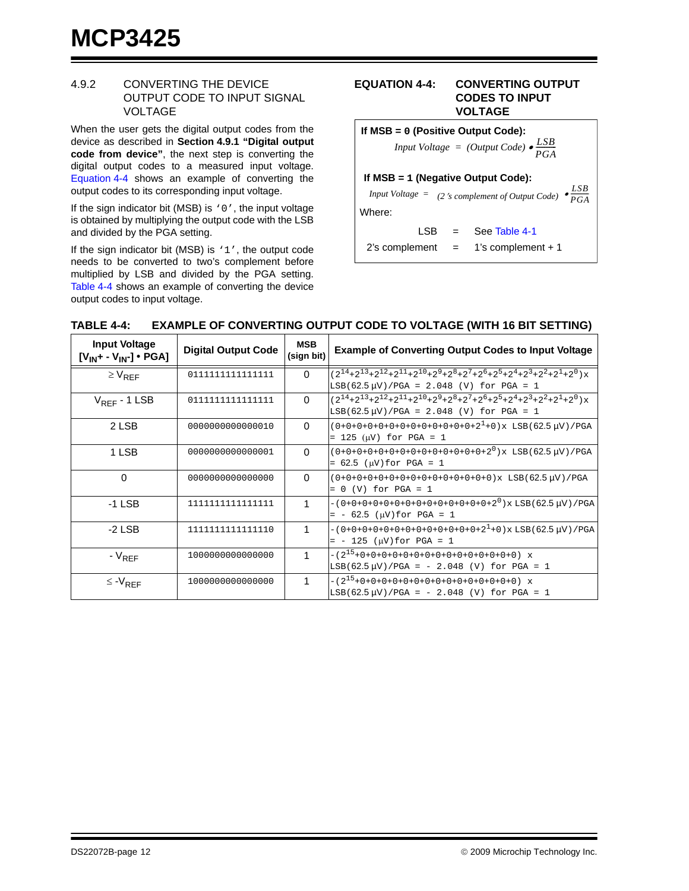#### 4.9.2 CONVERTING THE DEVICE OUTPUT CODE TO INPUT SIGNAL VOLTAGE

When the user gets the digital output codes from the device as described in **[Section 4.9.1 "Digital output](#page-10-3) [code from device"](#page-10-3)**, the next step is converting the digital output codes to a measured input voltage. [Equation 4-4](#page-11-0) shows an example of converting the output codes to its corresponding input voltage.

If the sign indicator bit (MSB) is  $'0'$ , the input voltage is obtained by multiplying the output code with the LSB and divided by the PGA setting.

If the sign indicator bit (MSB) is  $11'$ , the output code needs to be converted to two's complement before multiplied by LSB and divided by the PGA setting. [Table 4-4](#page-11-1) shows an example of converting the device output codes to input voltage.

#### <span id="page-11-0"></span>**EQUATION 4-4: CONVERTING OUTPUT CODES TO INPUT VOLTAGE**

# **If MSB = 0 (Positive Output Code): If MSB = 1 (Negative Output Code):** Where:  $LSB = See Table 4-1$  $LSB = See Table 4-1$  $2's$  complement = 1's complement + 1 *Input Voltage = (Output Code)* •  $\frac{LSB}{PGA}$ *Input Voltage =* (2*'s complement of Output Code)*  $\bullet$   $\frac{LSD}{PGA}$ *LSB*

| <b>Input Voltage</b><br>$[V_{IN} + -V_{IN}$ ] • PGA] | <b>Digital Output Code</b> | <b>MSB</b><br>(sign bit) | <b>Example of Converting Output Codes to Input Voltage</b>                                                                                               |
|------------------------------------------------------|----------------------------|--------------------------|----------------------------------------------------------------------------------------------------------------------------------------------------------|
| $\geq$ $V_{RFF}$                                     | 0111111111111111           | $\Omega$                 | $(2^{14}+2^{13}+2^{12}+2^{11}+2^{10}+2^9+2^8+2^7+2^6+2^5+2^4+2^3+2^2+2^1+2^0)x$<br>$LSB(62.5 \text{ }\mu\text{V}) / PGA = 2.048 \text{ (V)} for PGA = 1$ |
| $V_{RFF}$ - 1 LSB                                    | 0111111111111111           | $\Omega$                 | $(2^{14}+2^{13}+2^{12}+2^{11}+2^{10}+2^9+2^8+2^7+2^6+2^5+2^4+2^3+2^2+2^1+2^0)x$<br>$LSB(62.5 \text{ }\mu\text{V})/PGA = 2.048 \text{ (V)} for PGA = 1$   |
| 2 LSB                                                | 000000000000010            | $\Omega$                 | $(0+0+0+0+0+0+0+0+0+0+0+0+0+2^{1}+0)$ x LSB(62.5 µV)/PGA<br>$= 125$ (µV) for PGA = 1                                                                     |
| 1 LSB                                                | 000000000000001            | $\Omega$                 | $(0+0+0+0+0+0+0+0+0+0+0+0+0+0+2^0)x$ LSB(62.5 µV)/PGA<br>= $62.5$ ( $\mu$ V) for PGA = 1                                                                 |
| $\Omega$                                             | 000000000000000            | $\Omega$                 | $(0+0+0+0+0+0+0+0+0+0+0+0+0+0+0)x$ LSB(62.5 µV)/PGA<br>$= 0$ (V) for PGA $= 1$                                                                           |
| $-1$ LSB                                             | 1111111111111111           | 1                        | $-$ (0+0+0+0+0+0+0+0+0+0+0+0+0+0+2 <sup>0</sup> ) x LSB( <b>62.5 µV</b> )/ PGA<br>$= -62.5$ (µV) for PGA = 1                                             |
| $-2$ LSB                                             | 1111111111111110           | 1                        | $-$ (0+0+0+0+0+0+0+0+0+0+0+0+0+2 <sup>1</sup> +0)xLSB( <b>62.5 µV</b> )/PGA<br>$= -125$ (µV) for PGA = 1                                                 |
| $-V_{REF}$                                           | 1000000000000000           | 1                        | $-(2^{15}+0+0+0+0+0+0+0+0+0+0+0+0+0+0+0) x$<br>$LSB(62.5 \mu V)/PGA = -2.048 (V) for PGA = 1$                                                            |
| $\leq$ -V <sub>REF</sub>                             | 1000000000000000           | 1                        | $-(2^{15}+0+0+0+0+0+0+0+0+0+0+0+0+0+0+0) x$<br>$LSB(62.5 \text{ }\mu\text{V})/PGA = -2.048 \text{ } (V) \text{ for } PGA = 1$                            |

# <span id="page-11-1"></span>**TABLE 4-4: EXAMPLE OF CONVERTING OUTPUT CODE TO VOLTAGE (WITH 16 BIT SETTING)**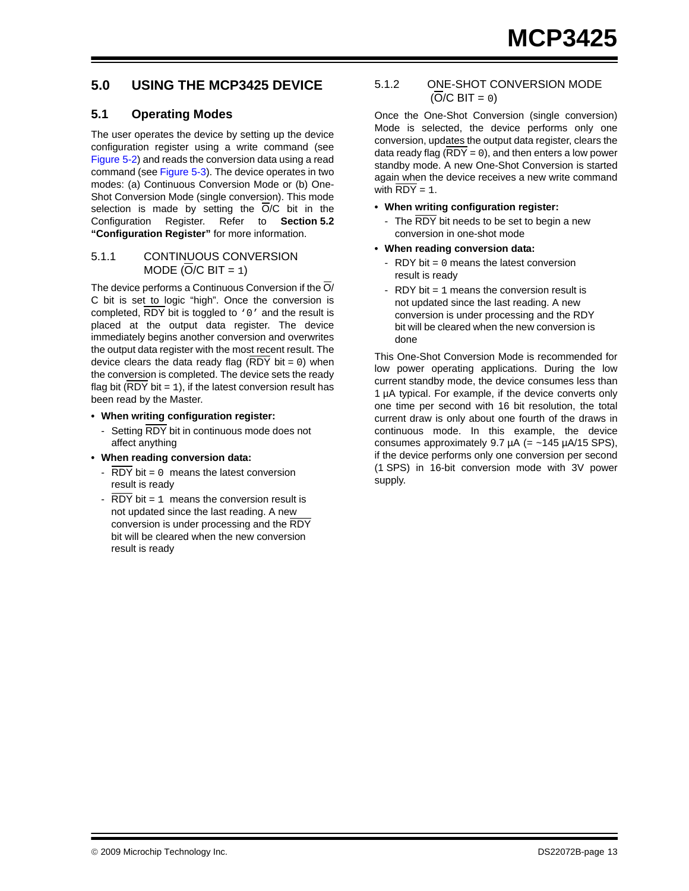# <span id="page-12-0"></span>**5.0 USING THE MCP3425 DEVICE**

## **5.1 Operating Modes**

The user operates the device by setting up the device configuration register using a write command (see [Figure 5-2\)](#page-15-0) and reads the conversion data using a read command (see [Figure 5-3](#page-17-0)). The device operates in two modes: (a) Continuous Conversion Mode or (b) One-Shot Conversion Mode (single conversion). This mode selection is made by setting the  $\overline{O}/C$  bit in the Configuration Register. Refer to **[Section 5.2](#page-13-0) ["Configuration Register"](#page-13-0)** for more information.

#### 5.1.1 CONTINUOUS CONVERSION MODE (O/C BIT  $= 1$ )

The device performs a Continuous Conversion if the  $\overline{O}$ / C bit is set to logic "high". Once the conversion is completed,  $\overline{RDY}$  bit is toggled to '0' and the result is placed at the output data register. The device immediately begins another conversion and overwrites the output data register with the most recent result. The device clears the data ready flag ( $RDY$  bit = 0) when the conversion is completed. The device sets the ready flag bit (RDY bit  $= 1$ ), if the latest conversion result has been read by the Master.

- **When writing configuration register:**
	- Setting RDY bit in continuous mode does not affect anything
- **When reading conversion data:**
	- RDY bit  $= 0$  means the latest conversion result is ready
	- RDY bit  $= 1$  means the conversion result is not updated since the last reading. A new conversion is under processing and the RDY bit will be cleared when the new conversion result is ready

#### 5.1.2 ONE-SHOT CONVERSION MODE  $(O/C$  BIT = 0)

Once the One-Shot Conversion (single conversion) Mode is selected, the device performs only one conversion, updates the output data register, clears the data ready flag ( $\overline{RDY} = 0$ ), and then enters a low power standby mode. A new One-Shot Conversion is started again when the device receives a new write command with  $RDY = 1$ .

- **When writing configuration register:**
	- The RDY bit needs to be set to begin a new conversion in one-shot mode
- **When reading conversion data:**
	- $RDY$  bit = 0 means the latest conversion result is ready
	- RDY bit  $= 1$  means the conversion result is not updated since the last reading. A new conversion is under processing and the RDY bit will be cleared when the new conversion is done

This One-Shot Conversion Mode is recommended for low power operating applications. During the low current standby mode, the device consumes less than 1 µA typical. For example, if the device converts only one time per second with 16 bit resolution, the total current draw is only about one fourth of the draws in continuous mode. In this example, the device consumes approximately 9.7  $\mu$ A (= ~145  $\mu$ A/15 SPS), if the device performs only one conversion per second (1 SPS) in 16-bit conversion mode with 3V power supply.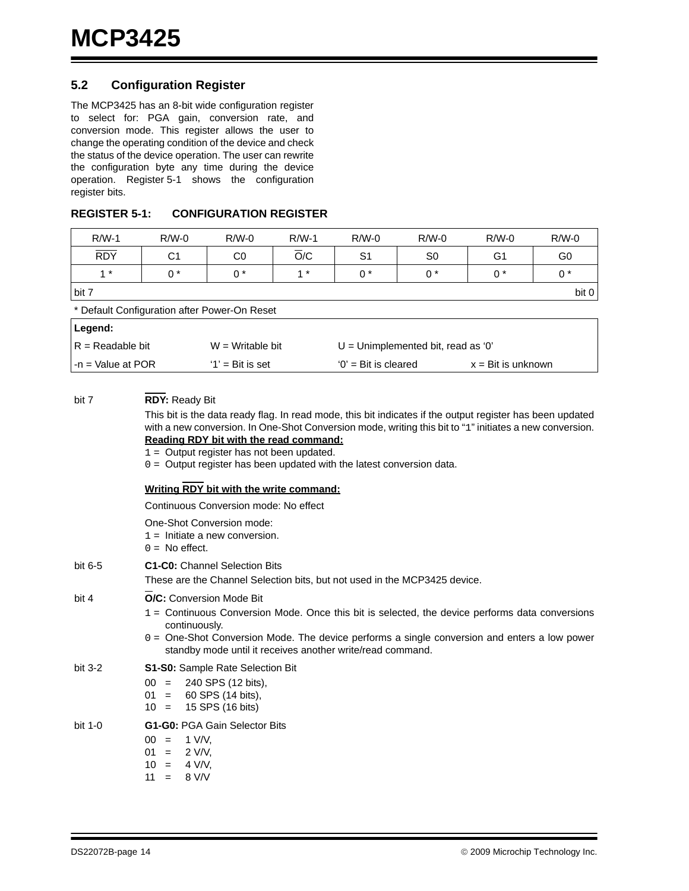# <span id="page-13-0"></span>**5.2 Configuration Register**

The MCP3425 has an 8-bit wide configuration register to select for: PGA gain, conversion rate, and conversion mode. This register allows the user to change the operating condition of the device and check the status of the device operation. The user can rewrite the configuration byte any time during the device operation. [Register 5-1](#page-13-1) shows the configuration register bits.

<span id="page-13-1"></span>

| <b>CONFIGURATION REGISTER</b><br><b>REGISTER 5-1:</b> |  |  |  |
|-------------------------------------------------------|--|--|--|
|-------------------------------------------------------|--|--|--|

| R/W-1                                        | $R/W-0$                                                                                                                                                                                                                                                                                                                                                                                                                                                                                                                                                                                    | $R/W-0$                              | $R/W-1$          | $R/W-0$                | $R/W-0$                                                                   | $R/W-0$                     | $R/W-0$        |  |  |
|----------------------------------------------|--------------------------------------------------------------------------------------------------------------------------------------------------------------------------------------------------------------------------------------------------------------------------------------------------------------------------------------------------------------------------------------------------------------------------------------------------------------------------------------------------------------------------------------------------------------------------------------------|--------------------------------------|------------------|------------------------|---------------------------------------------------------------------------|-----------------------------|----------------|--|--|
| <b>RDY</b>                                   | C <sub>1</sub>                                                                                                                                                                                                                                                                                                                                                                                                                                                                                                                                                                             | CO                                   | $\overline{O}/C$ | S <sub>1</sub>         | S <sub>0</sub>                                                            | G <sub>1</sub>              | G <sub>0</sub> |  |  |
| $1 *$                                        | $0*$                                                                                                                                                                                                                                                                                                                                                                                                                                                                                                                                                                                       | $0^*$                                | $1 *$            | $0^*$                  | $0^*$                                                                     | $0*$                        | $0^*$          |  |  |
| bit 7                                        |                                                                                                                                                                                                                                                                                                                                                                                                                                                                                                                                                                                            |                                      |                  |                        |                                                                           |                             | bit 0          |  |  |
| * Default Configuration after Power-On Reset |                                                                                                                                                                                                                                                                                                                                                                                                                                                                                                                                                                                            |                                      |                  |                        |                                                                           |                             |                |  |  |
| Legend:                                      |                                                                                                                                                                                                                                                                                                                                                                                                                                                                                                                                                                                            |                                      |                  |                        |                                                                           |                             |                |  |  |
| $R =$ Readable bit                           |                                                                                                                                                                                                                                                                                                                                                                                                                                                                                                                                                                                            | $W = W$ ritable bit                  |                  |                        | $U =$ Unimplemented bit, read as '0'                                      |                             |                |  |  |
| -n = Value at POR                            |                                                                                                                                                                                                                                                                                                                                                                                                                                                                                                                                                                                            | $'1'$ = Bit is set                   |                  | $'0'$ = Bit is cleared |                                                                           | $x = \text{Bit}$ is unknown |                |  |  |
| bit 7<br>bit $6-5$                           | <b>RDY: Ready Bit</b><br>This bit is the data ready flag. In read mode, this bit indicates if the output register has been updated<br>with a new conversion. In One-Shot Conversion mode, writing this bit to "1" initiates a new conversion.<br>Reading RDY bit with the read command:<br>$1 =$ Output register has not been updated.<br>$0 =$ Output register has been updated with the latest conversion data.<br>Writing RDY bit with the write command:<br>Continuous Conversion mode: No effect<br>One-Shot Conversion mode:<br>$1 =$ Initiate a new conversion.<br>$0 = No effect.$ |                                      |                  |                        |                                                                           |                             |                |  |  |
|                                              |                                                                                                                                                                                                                                                                                                                                                                                                                                                                                                                                                                                            | <b>C1-C0:</b> Channel Selection Bits |                  |                        | These are the Channel Selection bits, but not used in the MCP3425 device. |                             |                |  |  |
| bit 4                                        | <b>O/C:</b> Conversion Mode Bit<br>1 = Continuous Conversion Mode. Once this bit is selected, the device performs data conversions<br>continuously.<br>$0 =$ One-Shot Conversion Mode. The device performs a single conversion and enters a low power<br>standby mode until it receives another write/read command.                                                                                                                                                                                                                                                                        |                                      |                  |                        |                                                                           |                             |                |  |  |
| bit $3-2$                                    | <b>S1-S0:</b> Sample Rate Selection Bit<br>$00 =$<br>240 SPS (12 bits),<br>$01 =$<br>60 SPS (14 bits),<br>15 SPS (16 bits)<br>$10 =$                                                                                                                                                                                                                                                                                                                                                                                                                                                       |                                      |                  |                        |                                                                           |                             |                |  |  |
| bit 1-0                                      | G1-G0: PGA Gain Selector Bits<br>$00 =$<br>1 V/V.<br>2 V/V,<br>$01 =$<br>4 V/V.<br>10<br>$=$<br>8 V/V<br>$11 =$                                                                                                                                                                                                                                                                                                                                                                                                                                                                            |                                      |                  |                        |                                                                           |                             |                |  |  |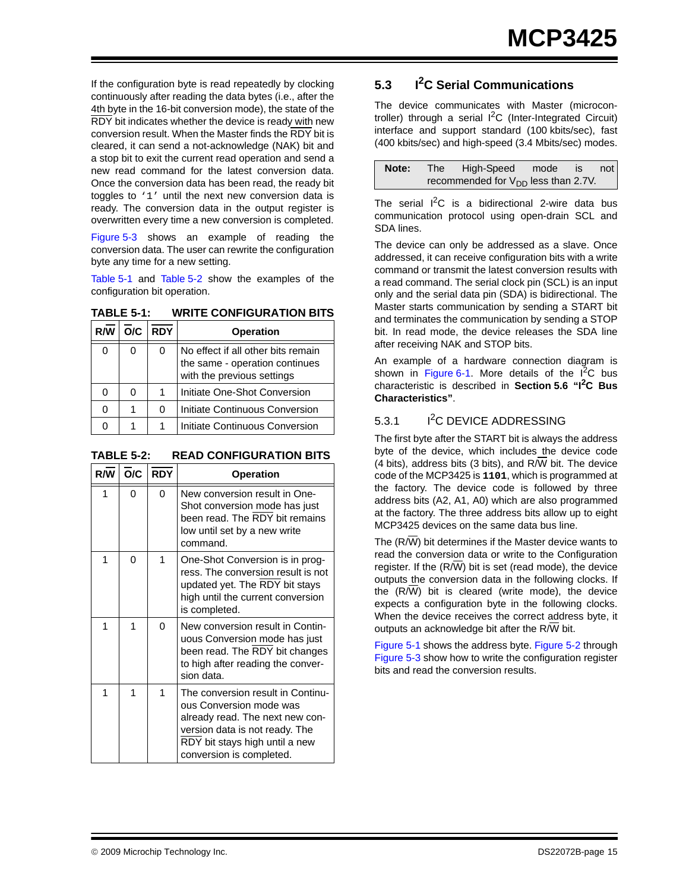If the configuration byte is read repeatedly by clocking continuously after reading the data bytes (i.e., after the 4th byte in the 16-bit conversion mode), the state of the RDY bit indicates whether the device is ready with new conversion result. When the Master finds the RDY bit is cleared, it can send a not-acknowledge (NAK) bit and a stop bit to exit the current read operation and send a new read command for the latest conversion data. Once the conversion data has been read, the ready bit toggles to  $1'$  until the next new conversion data is ready. The conversion data in the output register is overwritten every time a new conversion is completed.

[Figure 5-3](#page-17-0) shows an example of reading the conversion data. The user can rewrite the configuration byte any time for a new setting.

[Table 5-1](#page-14-1) and [Table 5-2](#page-14-2) show the examples of the configuration bit operation.

<span id="page-14-1"></span>**TABLE 5-1: WRITE CONFIGURATION BITS**

|   | O/C | <b>RDY</b> | <b>Operation</b>                                                                                   |
|---|-----|------------|----------------------------------------------------------------------------------------------------|
| 0 |     | 0          | No effect if all other bits remain<br>the same - operation continues<br>with the previous settings |
|   |     |            | Initiate One-Shot Conversion                                                                       |
|   |     | 0          | Initiate Continuous Conversion                                                                     |
|   |     |            | Initiate Continuous Conversion                                                                     |

<span id="page-14-2"></span>

| <b>TABLE 5-2:</b> | <b>READ CONFIGURATION BITS</b> |
|-------------------|--------------------------------|
|-------------------|--------------------------------|

| R/W | $\overline{O}/C$ | <b>RDY</b> | <b>Operation</b>                                                                                                                                                                                |
|-----|------------------|------------|-------------------------------------------------------------------------------------------------------------------------------------------------------------------------------------------------|
| 1   | 0                | $\Omega$   | New conversion result in One-<br>Shot conversion mode has just<br>been read. The RDY bit remains<br>low until set by a new write<br>command.                                                    |
| 1   | 0                | 1          | One-Shot Conversion is in prog-<br>ress. The conversion result is not<br>updated yet. The RDY bit stays<br>high until the current conversion<br>is completed.                                   |
| 1   | 1                | 0          | New conversion result in Contin-<br>uous Conversion mode has just<br>been read. The RDY bit changes<br>to high after reading the conver-<br>sion data.                                          |
| 1   | 1                | 1          | The conversion result in Continu-<br>ous Conversion mode was<br>already read. The next new con-<br>version data is not ready. The<br>RDY bit stays high until a new<br>conversion is completed. |

# <span id="page-14-0"></span>**5.3 I2C Serial Communications**

The device communicates with Master (microcontroller) through a serial  $I^2C$  (Inter-Integrated Circuit) interface and support standard (100 kbits/sec), fast (400 kbits/sec) and high-speed (3.4 Mbits/sec) modes.

| Note: | The l | High-Speed mode is not                   |  |  |
|-------|-------|------------------------------------------|--|--|
|       |       | recommended for $V_{DD}$ less than 2.7V. |  |  |

The serial  $I^2C$  is a bidirectional 2-wire data bus communication protocol using open-drain SCL and SDA lines.

The device can only be addressed as a slave. Once addressed, it can receive configuration bits with a write command or transmit the latest conversion results with a read command. The serial clock pin (SCL) is an input only and the serial data pin (SDA) is bidirectional. The Master starts communication by sending a START bit and terminates the communication by sending a STOP bit. In read mode, the device releases the SDA line after receiving NAK and STOP bits.

An example of a hardware connection diagram is shown in [Figure 6-1](#page-24-0). More details of the  $I^2C$  bus characteristic is described in **[Section 5.6 "I](#page-18-0)2C Bus [Characteristics"](#page-18-0)**.

# 5.3.1 I<sup>2</sup>C DEVICE ADDRESSING

The first byte after the START bit is always the address byte of the device, which includes the device code (4 bits), address bits (3 bits), and  $R/\sqrt{W}$  bit. The device code of the MCP3425 is **1101**, which is programmed at the factory. The device code is followed by three address bits (A2, A1, A0) which are also programmed at the factory. The three address bits allow up to eight MCP3425 devices on the same data bus line.

The (R/W) bit determines if the Master device wants to read the conversion data or write to the Configuration register. If the (R/W) bit is set (read mode), the device outputs the conversion data in the following clocks. If the  $(R/\overline{W})$  bit is cleared (write mode), the device expects a configuration byte in the following clocks. When the device receives the correct address byte, it outputs an acknowledge bit after the R/W bit.

[Figure 5-1](#page-15-1) shows the address byte. [Figure 5-2](#page-15-0) through [Figure 5-3](#page-17-0) show how to write the configuration register bits and read the conversion results.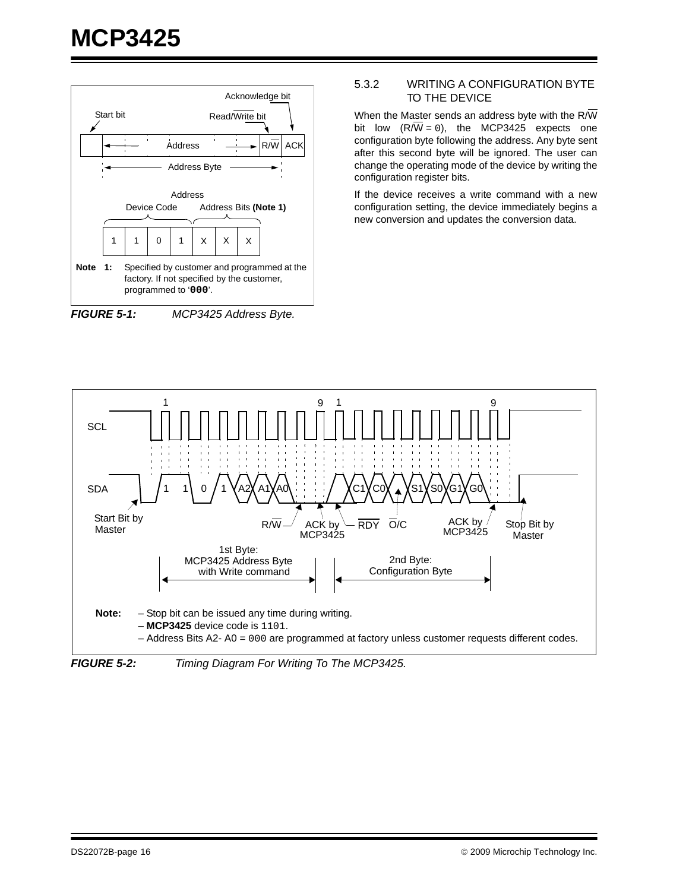

<span id="page-15-1"></span>

#### 5.3.2 WRITING A CONFIGURATION BYTE TO THE DEVICE

When the Master sends an address byte with the  $R/\overline{W}$ bit low  $(R/W = 0)$ , the MCP3425 expects one configuration byte following the address. Any byte sent after this second byte will be ignored. The user can change the operating mode of the device by writing the configuration register bits.

If the device receives a write command with a new configuration setting, the device immediately begins a new conversion and updates the conversion data.



<span id="page-15-0"></span>*FIGURE 5-2: Timing Diagram For Writing To The MCP3425.*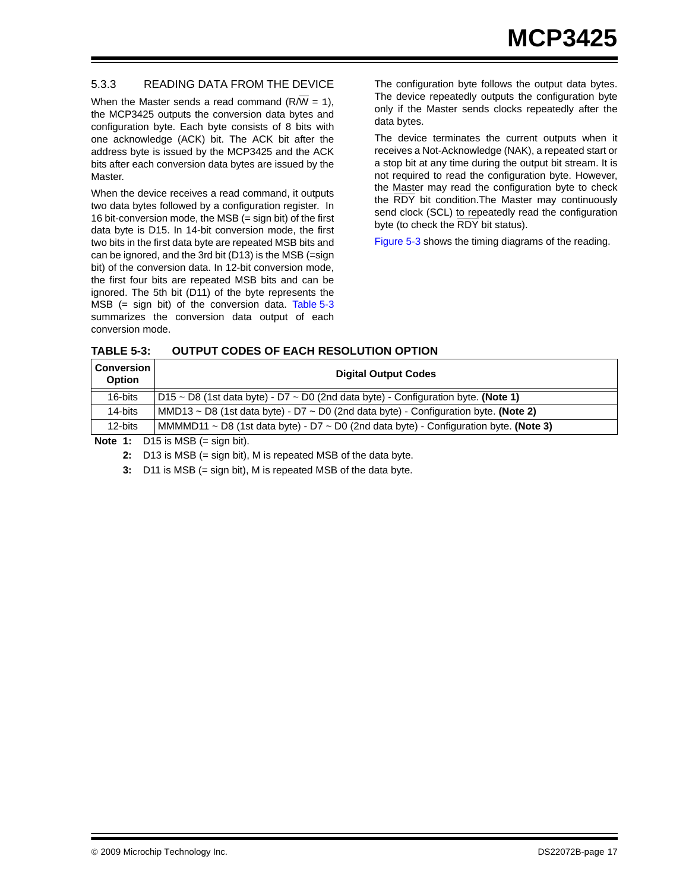#### 5.3.3 READING DATA FROM THE DEVICE

When the Master sends a read command  $(R/\overline{W} = 1)$ , the MCP3425 outputs the conversion data bytes and configuration byte. Each byte consists of 8 bits with one acknowledge (ACK) bit. The ACK bit after the address byte is issued by the MCP3425 and the ACK bits after each conversion data bytes are issued by the **Master** 

When the device receives a read command, it outputs two data bytes followed by a configuration register. In 16 bit-conversion mode, the MSB (= sign bit) of the first data byte is D15. In 14-bit conversion mode, the first two bits in the first data byte are repeated MSB bits and can be ignored, and the 3rd bit (D13) is the MSB (=sign bit) of the conversion data. In 12-bit conversion mode, the first four bits are repeated MSB bits and can be ignored. The 5th bit (D11) of the byte represents the MSB (= sign bit) of the conversion data. [Table 5-3](#page-16-3) summarizes the conversion data output of each conversion mode.

The configuration byte follows the output data bytes. The device repeatedly outputs the configuration byte only if the Master sends clocks repeatedly after the data bytes.

The device terminates the current outputs when it receives a Not-Acknowledge (NAK), a repeated start or a stop bit at any time during the output bit stream. It is not required to read the configuration byte. However, the Master may read the configuration byte to check the RDY bit condition.The Master may continuously send clock (SCL) to repeatedly read the configuration byte (to check the RDY bit status).

[Figure 5-3](#page-17-0) shows the timing diagrams of the reading.

| .                                  |                                                                                              |  |  |  |  |  |
|------------------------------------|----------------------------------------------------------------------------------------------|--|--|--|--|--|
| <b>Conversion</b><br><b>Option</b> | <b>Digital Output Codes</b>                                                                  |  |  |  |  |  |
| 16-bits                            | $ D15 \sim D8$ (1st data byte) - D7 $\sim$ D0 (2nd data byte) - Configuration byte. (Note 1) |  |  |  |  |  |
| 14-bits                            | MMD13 ~ D8 (1st data byte) - D7 ~ D0 (2nd data byte) - Configuration byte. (Note 2)          |  |  |  |  |  |
| 12-bits                            | MMMMD11 ~ D8 (1st data byte) - D7 ~ D0 (2nd data byte) - Configuration byte. (Note 3)        |  |  |  |  |  |
|                                    | $Meta A$ , $D4E$ is $MCD$ (sign bit)                                                         |  |  |  |  |  |

<span id="page-16-3"></span>**TABLE 5-3: OUTPUT CODES OF EACH RESOLUTION OPTION**

<span id="page-16-2"></span><span id="page-16-1"></span><span id="page-16-0"></span>**Note 1:** D15 is MSB (= sign bit).

**2:** D13 is MSB (= sign bit), M is repeated MSB of the data byte.

**3:** D11 is MSB (= sign bit), M is repeated MSB of the data byte.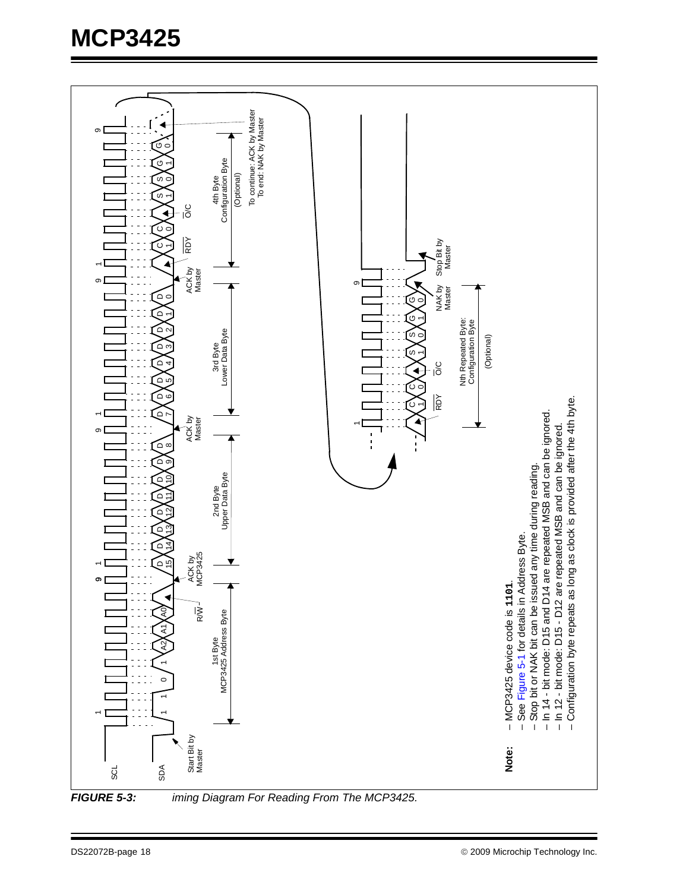

<span id="page-17-0"></span>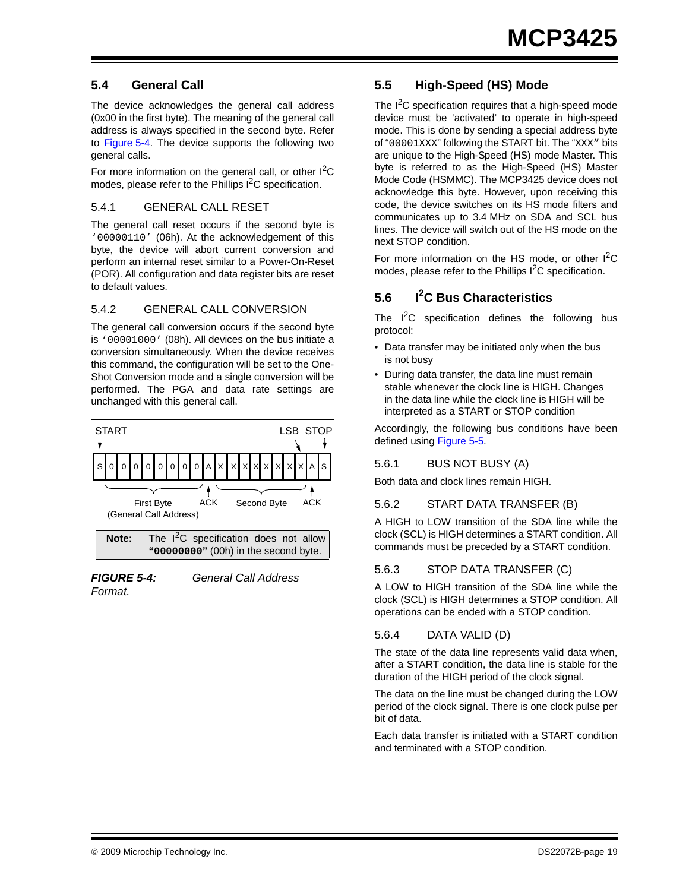# **5.4 General Call**

The device acknowledges the general call address (0x00 in the first byte). The meaning of the general call address is always specified in the second byte. Refer to [Figure 5-4](#page-18-1). The device supports the following two general calls.

For more information on the general call, or other  $I^2C$ modes, please refer to the Phillips  $1^2C$  specification.

#### 5.4.1 GENERAL CALL RESET

The general call reset occurs if the second byte is '00000110' (06h). At the acknowledgement of this byte, the device will abort current conversion and perform an internal reset similar to a Power-On-Reset (POR). All configuration and data register bits are reset to default values.

#### 5.4.2 GENERAL CALL CONVERSION

The general call conversion occurs if the second byte is '00001000' (08h). All devices on the bus initiate a conversion simultaneously. When the device receives this command, the configuration will be set to the One-Shot Conversion mode and a single conversion will be performed. The PGA and data rate settings are unchanged with this general call.



*Format.*

<span id="page-18-1"></span>*FIGURE 5-4: General Call Address* 

## **5.5 High-Speed (HS) Mode**

The  $I<sup>2</sup>C$  specification requires that a high-speed mode device must be 'activated' to operate in high-speed mode. This is done by sending a special address byte of "00001XXX" following the START bit. The "XXX" bits are unique to the High-Speed (HS) mode Master. This byte is referred to as the High-Speed (HS) Master Mode Code (HSMMC). The MCP3425 device does not acknowledge this byte. However, upon receiving this code, the device switches on its HS mode filters and communicates up to 3.4 MHz on SDA and SCL bus lines. The device will switch out of the HS mode on the next STOP condition.

For more information on the HS mode, or other  $I^2C$ modes, please refer to the Phillips  $I<sup>2</sup>C$  specification.

# <span id="page-18-0"></span>**5.6 I2C Bus Characteristics**

The  $I^2C$  specification defines the following bus protocol:

- Data transfer may be initiated only when the bus is not busy
- During data transfer, the data line must remain stable whenever the clock line is HIGH. Changes in the data line while the clock line is HIGH will be interpreted as a START or STOP condition

Accordingly, the following bus conditions have been defined using [Figure 5-5.](#page-19-0)

5.6.1 BUS NOT BUSY (A)

Both data and clock lines remain HIGH.

#### 5.6.2 START DATA TRANSFER (B)

A HIGH to LOW transition of the SDA line while the clock (SCL) is HIGH determines a START condition. All commands must be preceded by a START condition.

# 5.6.3 STOP DATA TRANSFER (C)

A LOW to HIGH transition of the SDA line while the clock (SCL) is HIGH determines a STOP condition. All operations can be ended with a STOP condition.

#### 5.6.4 DATA VALID (D)

The state of the data line represents valid data when, after a START condition, the data line is stable for the duration of the HIGH period of the clock signal.

The data on the line must be changed during the LOW period of the clock signal. There is one clock pulse per bit of data.

Each data transfer is initiated with a START condition and terminated with a STOP condition.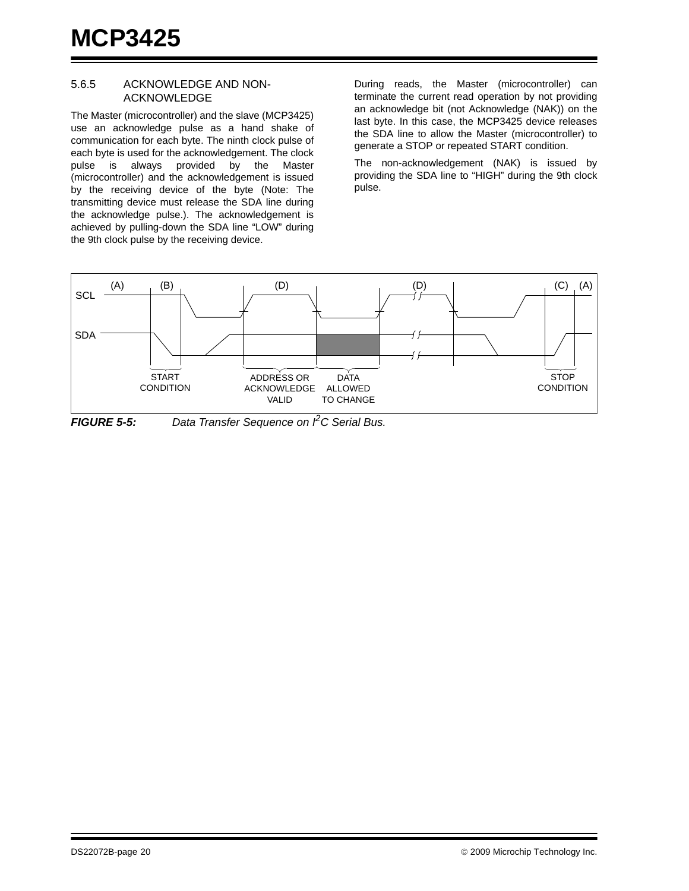#### 5.6.5 ACKNOWLEDGE AND NON-ACKNOWLEDGE

The Master (microcontroller) and the slave (MCP3425) use an acknowledge pulse as a hand shake of communication for each byte. The ninth clock pulse of each byte is used for the acknowledgement. The clock pulse is always provided by the Master (microcontroller) and the acknowledgement is issued by the receiving device of the byte (Note: The transmitting device must release the SDA line during the acknowledge pulse.). The acknowledgement is achieved by pulling-down the SDA line "LOW" during the 9th clock pulse by the receiving device.

During reads, the Master (microcontroller) can terminate the current read operation by not providing an acknowledge bit (not Acknowledge (NAK)) on the last byte. In this case, the MCP3425 device releases the SDA line to allow the Master (microcontroller) to generate a STOP or repeated START condition.

The non-acknowledgement (NAK) is issued by providing the SDA line to "HIGH" during the 9th clock pulse.



<span id="page-19-0"></span>*FIGURE 5-5: Data Transfer Sequence on I2C Serial Bus.*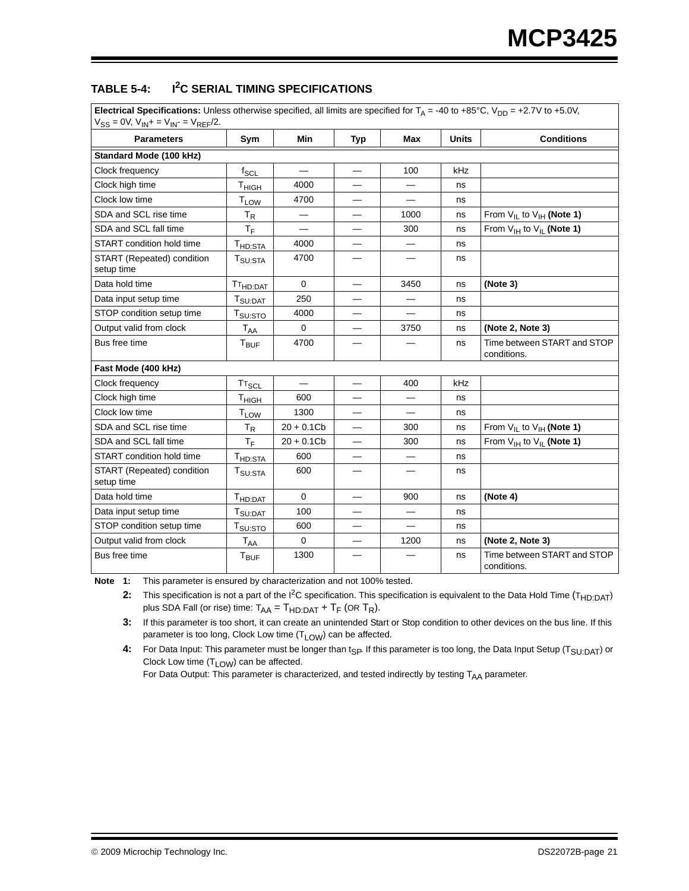| <b>Electrical Specifications:</b> Unless otherwise specified, all limits are specified for $T_A$ = -40 to +85°C, V <sub>DD</sub> = +2.7V to +5.0V,<br>$V_{SS} = 0V$ , $V_{IN} + V_{IN} = V_{REF}/2$ . |                                 |              |                          |      |              |                                                  |
|-------------------------------------------------------------------------------------------------------------------------------------------------------------------------------------------------------|---------------------------------|--------------|--------------------------|------|--------------|--------------------------------------------------|
| <b>Parameters</b>                                                                                                                                                                                     | Sym                             | Min          | <b>Typ</b>               | Max  | <b>Units</b> | <b>Conditions</b>                                |
| Standard Mode (100 kHz)                                                                                                                                                                               |                                 |              |                          |      |              |                                                  |
| Clock frequency                                                                                                                                                                                       | $f_{SCL}$                       |              |                          | 100  | kHz          |                                                  |
| Clock high time                                                                                                                                                                                       | Т <sub>ніGН</sub>               | 4000         |                          |      | ns           |                                                  |
| Clock low time                                                                                                                                                                                        | <b>TLOW</b>                     | 4700         |                          |      | ns           |                                                  |
| SDA and SCL rise time                                                                                                                                                                                 | $T_R$                           |              |                          | 1000 | ns           | From $V_{IL}$ to $V_{IH}$ (Note 1)               |
| SDA and SCL fall time                                                                                                                                                                                 | $T_F$                           |              | $\overline{\phantom{0}}$ | 300  | ns           | From $V_{\text{IH}}$ to $V_{\text{IL}}$ (Note 1) |
| START condition hold time                                                                                                                                                                             | T <sub>HD:STA</sub>             | 4000         |                          |      | ns           |                                                  |
| START (Repeated) condition<br>setup time                                                                                                                                                              | T <sub>SU:STA</sub>             | 4700         |                          |      | ns           |                                                  |
| Data hold time                                                                                                                                                                                        | TT <sub>HD:DAT</sub>            | 0            |                          | 3450 | ns           | (Note 3)                                         |
| Data input setup time                                                                                                                                                                                 | $T_{\text{SU:DAT}}$             | 250          |                          |      | ns           |                                                  |
| STOP condition setup time                                                                                                                                                                             | $T_{\mathsf{SU}: \mathsf{STO}}$ | 4000         |                          |      | ns           |                                                  |
| Output valid from clock                                                                                                                                                                               | $T_{AA}$                        | 0            | $\equiv$                 | 3750 | ns           | (Note 2, Note 3)                                 |
| Bus free time                                                                                                                                                                                         | $T_{\mathsf{BUF}}$              | 4700         | $\overline{\phantom{0}}$ |      | ns           | Time between START and STOP<br>conditions.       |
| Fast Mode (400 kHz)                                                                                                                                                                                   |                                 |              |                          |      |              |                                                  |
| Clock frequency                                                                                                                                                                                       | $TT_{SCL}$                      |              |                          | 400  | kHz          |                                                  |
| Clock high time                                                                                                                                                                                       | $\mathsf{T}_{\mathsf{HIGH}}$    | 600          |                          |      | ns           |                                                  |
| Clock low time                                                                                                                                                                                        | <b>TLOW</b>                     | 1300         |                          |      | ns           |                                                  |
| SDA and SCL rise time                                                                                                                                                                                 | $T_R$                           | $20 + 0.1Cb$ |                          | 300  | ns           | From $V_{IL}$ to $V_{IH}$ (Note 1)               |
| SDA and SCL fall time                                                                                                                                                                                 | $T_F$                           | $20 + 0.1Cb$ | $\overline{\phantom{0}}$ | 300  | ns           | From $V_{\text{IH}}$ to $V_{\text{IL}}$ (Note 1) |
| START condition hold time                                                                                                                                                                             | T <sub>HD:STA</sub>             | 600          |                          |      | ns           |                                                  |
| START (Repeated) condition<br>setup time                                                                                                                                                              | T <sub>SU:STA</sub>             | 600          |                          |      | ns           |                                                  |
| Data hold time                                                                                                                                                                                        | T <sub>HD:DAT</sub>             | 0            |                          | 900  | ns           | (Note 4)                                         |
| Data input setup time                                                                                                                                                                                 | T <sub>SU:DAT</sub>             | 100          |                          |      | ns           |                                                  |
| STOP condition setup time                                                                                                                                                                             | $T_{\mathsf{SU}: \mathsf{STO}}$ | 600          |                          |      | ns           |                                                  |
| Output valid from clock                                                                                                                                                                               | $T_{AA}$                        | 0            |                          | 1200 | ns           | (Note 2, Note 3)                                 |
| Bus free time                                                                                                                                                                                         | $T_{\mathsf{BUF}}$              | 1300         | —                        |      | ns           | Time between START and STOP<br>conditions.       |

#### <span id="page-20-4"></span>**TABLE 5-4: I2C SERIAL TIMING SPECIFICATIONS**

<span id="page-20-2"></span><span id="page-20-0"></span>**Note 1:** This parameter is ensured by characterization and not 100% tested.

**2:** This specification is not a part of the I<sup>2</sup>C specification. This specification is equivalent to the Data Hold Time (T<sub>HD:DAT</sub>) plus SDA Fall (or rise) time:  $T_{AA} = T_{HD:DAT} + T_F$  (OR  $T_R$ ).

<span id="page-20-1"></span>**3:** If this parameter is too short, it can create an unintended Start or Stop condition to other devices on the bus line. If this parameter is too long, Clock Low time  $(T<sub>LOW</sub>)$  can be affected.

<span id="page-20-3"></span>4: For Data Input: This parameter must be longer than t<sub>SP</sub>. If this parameter is too long, the Data Input Setup (T<sub>SU:DAT</sub>) or Clock Low time  $(T_{LOW})$  can be affected.

For Data Output: This parameter is characterized, and tested indirectly by testing  $T_{AA}$  parameter.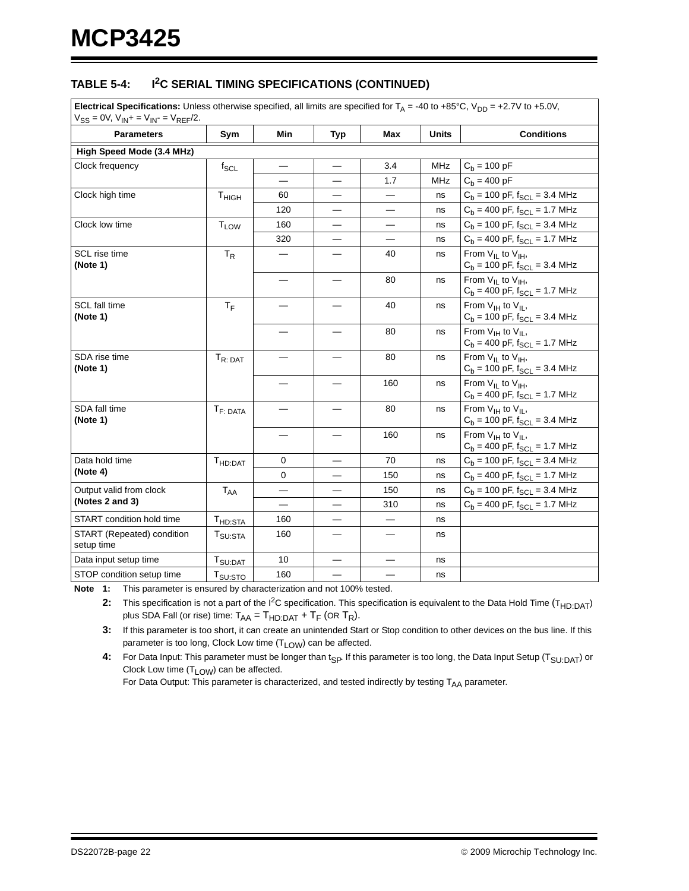#### **TABLE 5-4: I2C SERIAL TIMING SPECIFICATIONS (CONTINUED)**

**Electrical Specifications:** Unless otherwise specified, all limits are specified for T<sub>A</sub> = -40 to +85°C, V<sub>DD</sub> = +2.7V to +5.0V,  $V_{SS} = 0V$ ,  $V_{IN} + V_{IN} = V_{REF}/2$ .

| $V_{SS} = UV$ , $V_{IN}$ = $V_{IN}$ = $V_{REF}/Z$ . |                       |            |            |          |              |                                                                    |
|-----------------------------------------------------|-----------------------|------------|------------|----------|--------------|--------------------------------------------------------------------|
| <b>Parameters</b>                                   | Sym                   | <b>Min</b> | <b>Typ</b> | Max      | <b>Units</b> | <b>Conditions</b>                                                  |
| High Speed Mode (3.4 MHz)                           |                       |            |            |          |              |                                                                    |
| Clock frequency                                     | $f_{SCL}$             |            |            | 3.4      | <b>MHz</b>   | $C_b = 100 pF$                                                     |
|                                                     |                       |            |            | 1.7      | <b>MHz</b>   | $C_h = 400 pF$                                                     |
| Clock high time                                     | T <sub>HIGH</sub>     | 60         | —          | $\equiv$ | ns           | $C_b$ = 100 pF, $f_{SCL}$ = 3.4 MHz                                |
|                                                     |                       | 120        |            |          | ns           | $C_b = 400$ pF, $f_{SCL} = 1.7$ MHz                                |
| Clock low time                                      | $T_{LOW}$             | 160        |            |          | ns           | $C_b$ = 100 pF, $f_{SCL}$ = 3.4 MHz                                |
|                                                     |                       | 320        |            |          | ns           | $C_b$ = 400 pF, $f_{SCL}$ = 1.7 MHz                                |
| SCL rise time<br>(Note 1)                           | $T_R$                 |            |            | 40       | ns           | From $V_{IL}$ to $V_{IH}$ ,<br>$C_b$ = 100 pF, $f_{SCL}$ = 3.4 MHz |
|                                                     |                       |            |            | 80       | ns           | From $V_{II}$ to $V_{IH}$ ,<br>$C_b = 400$ pF, $f_{SCL} = 1.7$ MHz |
| SCL fall time<br>(Note 1)                           | $T_F$                 |            |            | 40       | ns           | From $V_{IH}$ to $V_{II}$ ,<br>$C_b$ = 100 pF, $f_{SCL}$ = 3.4 MHz |
|                                                     |                       |            |            | 80       | ns           | From $V_{IH}$ to $V_{II}$ ,<br>$C_b = 400$ pF, $f_{SCL} = 1.7$ MHz |
| SDA rise time<br>(Note 1)                           | $T_{R:$ DAT           |            |            | 80       | ns           | From $V_{II}$ to $V_{IH}$ ,<br>$C_b$ = 100 pF, $f_{SCL}$ = 3.4 MHz |
|                                                     |                       |            |            | 160      | ns           | From $V_{II}$ to $V_{IH}$ ,<br>$C_b = 400$ pF, $f_{SCL} = 1.7$ MHz |
| SDA fall time<br>(Note 1)                           | $T_{F: \, DATA}$      |            |            | 80       | ns           | From $V_{IH}$ to $V_{II}$ ,<br>$C_b$ = 100 pF, $f_{SCL}$ = 3.4 MHz |
|                                                     |                       |            |            | 160      | ns           | From $V_{IH}$ to $V_{II}$ ,<br>$C_b = 400$ pF, $f_{SCL} = 1.7$ MHz |
| Data hold time                                      | T <sub>HD:DAT</sub>   | 0          |            | 70       | ns           | $C_b$ = 100 pF, $f_{SCL}$ = 3.4 MHz                                |
| (Note 4)                                            |                       | 0          |            | 150      | ns           | $C_b$ = 400 pF, $f_{\text{SCI}}$ = 1.7 MHz                         |
| Output valid from clock                             | <b>T<sub>AA</sub></b> |            |            | 150      | ns           | $C_b$ = 100 pF, $f_{SCL}$ = 3.4 MHz                                |
| (Notes 2 and 3)                                     |                       |            | —          | 310      | ns           | $C_b = 400$ pF, $f_{SCL} = 1.7$ MHz                                |
| START condition hold time                           | T <sub>HD:STA</sub>   | 160        |            |          | ns           |                                                                    |
| START (Repeated) condition<br>setup time            | T <sub>SU:STA</sub>   | 160        |            |          | ns           |                                                                    |
| Data input setup time                               | T <sub>SU:DAT</sub>   | 10         |            |          | ns           |                                                                    |
| STOP condition setup time                           | T <sub>SU:STO</sub>   | 160        |            |          | ns           |                                                                    |

**Note 1:** This parameter is ensured by characterization and not 100% tested.

**2:** This specification is not a part of the I<sup>2</sup>C specification. This specification is equivalent to the Data Hold Time (T<sub>HD:DAT</sub>) plus SDA Fall (or rise) time:  $T_{AA} = T_{HD:DAT} + T_F$  (OR  $T_R$ ).

**3:** If this parameter is too short, it can create an unintended Start or Stop condition to other devices on the bus line. If this parameter is too long, Clock Low time (T<sub>LOW</sub>) can be affected.

4: For Data Input: This parameter must be longer than t<sub>SP</sub>. If this parameter is too long, the Data Input Setup (T<sub>SU:DAT</sub>) or Clock Low time  $(T<sub>LOW</sub>)$  can be affected.

For Data Output: This parameter is characterized, and tested indirectly by testing T<sub>AA</sub> parameter.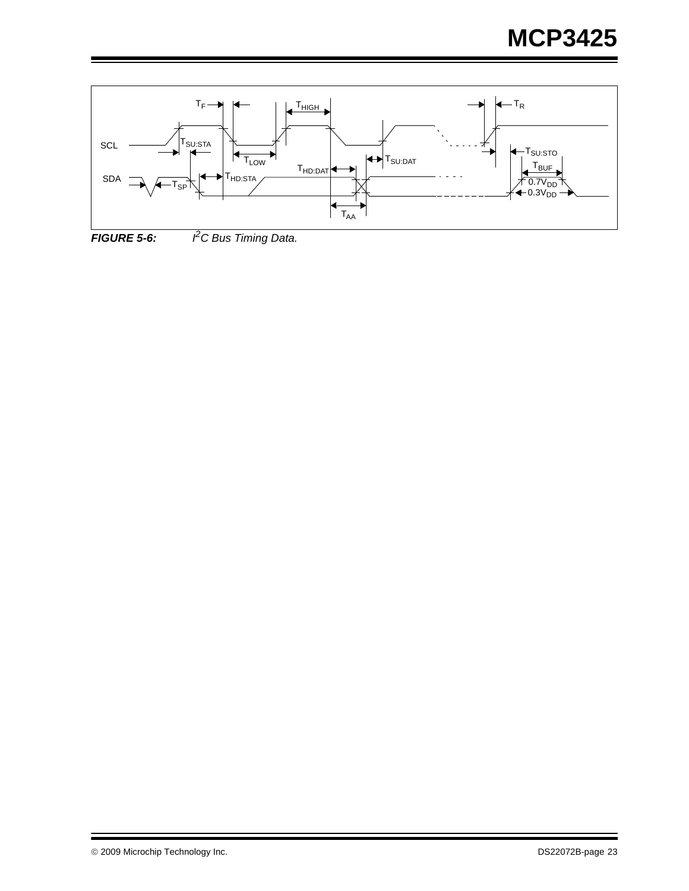

*FIGURE 5-6: I 2C Bus Timing Data.*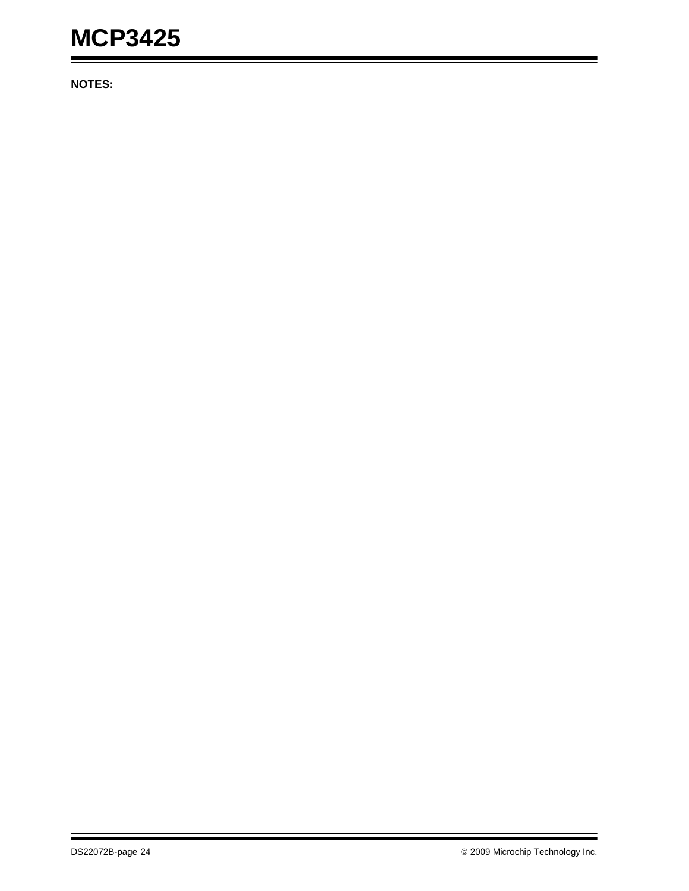**NOTES:**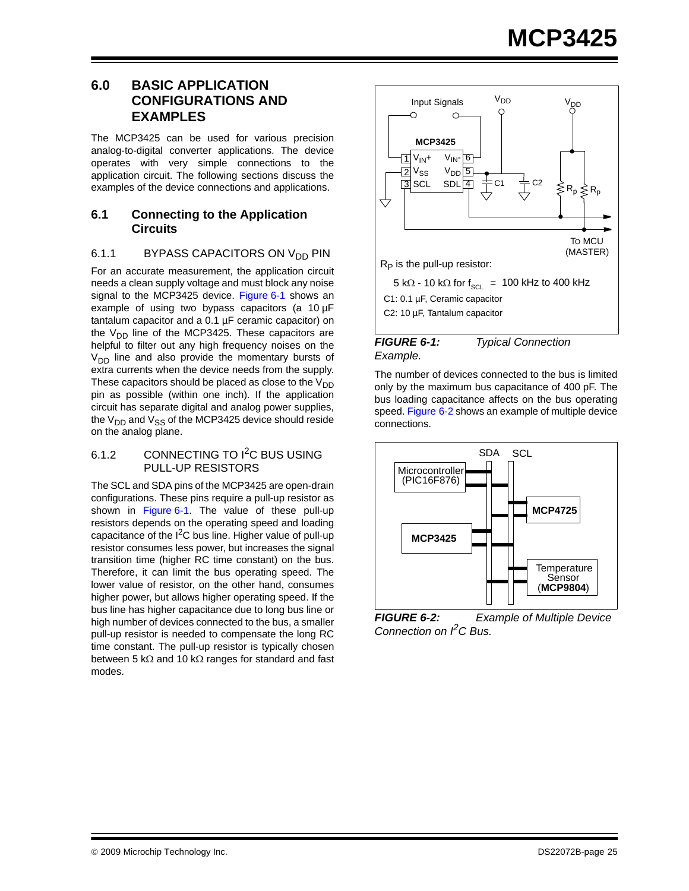# <span id="page-24-2"></span>**6.0 BASIC APPLICATION CONFIGURATIONS AND EXAMPLES**

The MCP3425 can be used for various precision analog-to-digital converter applications. The device operates with very simple connections to the application circuit. The following sections discuss the examples of the device connections and applications.

# **6.1 Connecting to the Application Circuits**

#### 6.1.1 BYPASS CAPACITORS ON V<sub>DD</sub> PIN

For an accurate measurement, the application circuit needs a clean supply voltage and must block any noise signal to the MCP3425 device. [Figure 6-1](#page-24-0) shows an example of using two bypass capacitors (a 10 µF tantalum capacitor and a 0.1 µF ceramic capacitor) on the  $V_{DD}$  line of the MCP3425. These capacitors are helpful to filter out any high frequency noises on the  $V<sub>DD</sub>$  line and also provide the momentary bursts of extra currents when the device needs from the supply. These capacitors should be placed as close to the  $V_{DD}$ pin as possible (within one inch). If the application circuit has separate digital and analog power supplies, the  $V_{DD}$  and  $V_{SS}$  of the MCP3425 device should reside on the analog plane.

#### 6.1.2 CONNECTING TO <sup>2</sup>C BUS USING PULL-UP RESISTORS

The SCL and SDA pins of the MCP3425 are open-drain configurations. These pins require a pull-up resistor as shown in [Figure 6-1](#page-24-0). The value of these pull-up resistors depends on the operating speed and loading capacitance of the  $I^2C$  bus line. Higher value of pull-up resistor consumes less power, but increases the signal transition time (higher RC time constant) on the bus. Therefore, it can limit the bus operating speed. The lower value of resistor, on the other hand, consumes higher power, but allows higher operating speed. If the bus line has higher capacitance due to long bus line or high number of devices connected to the bus, a smaller pull-up resistor is needed to compensate the long RC time constant. The pull-up resistor is typically chosen between 5 kΩ and 10 kΩ ranges for standard and fast modes.



#### <span id="page-24-0"></span>*FIGURE 6-1: Typical Connection Example.*

The number of devices connected to the bus is limited only by the maximum bus capacitance of 400 pF. The bus loading capacitance affects on the bus operating speed. [Figure 6-2](#page-24-1) shows an example of multiple device connections.



<span id="page-24-1"></span>*FIGURE 6-2: Example of Multiple Device Connection on I2C Bus.*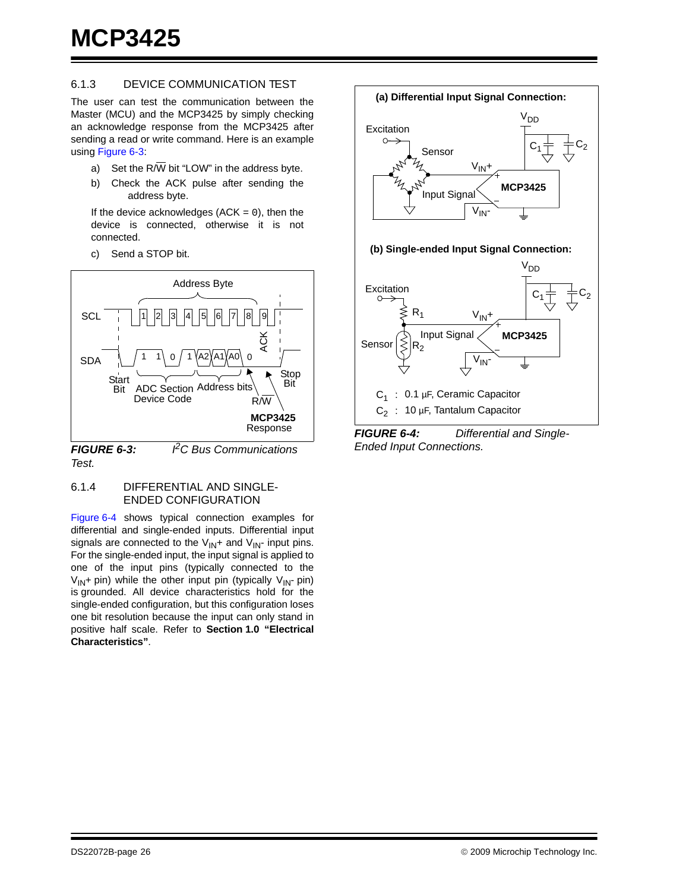#### 6.1.3 DEVICE COMMUNICATION TEST

The user can test the communication between the Master (MCU) and the MCP3425 by simply checking an acknowledge response from the MCP3425 after sending a read or write command. Here is an example using [Figure 6-3:](#page-25-0)

- a) Set the R/W bit "LOW" in the address byte.
- b) Check the ACK pulse after sending the address byte.

If the device acknowledges  $(ACK = 0)$ , then the device is connected, otherwise it is not connected.

c) Send a STOP bit.



<span id="page-25-0"></span>*FIGURE 6-3: I 2C Bus Communications Test.*

#### 6.1.4 DIFFERENTIAL AND SINGLE-ENDED CONFIGURATION

[Figure 6-4](#page-25-1) shows typical connection examples for differential and single-ended inputs. Differential input signals are connected to the  $V_{IN}$ + and  $V_{IN}$ - input pins. For the single-ended input, the input signal is applied to one of the input pins (typically connected to the  $V_{IN}$ + pin) while the other input pin (typically  $V_{IN}$ - pin) is grounded. All device characteristics hold for the single-ended configuration, but this configuration loses one bit resolution because the input can only stand in positive half scale. Refer to **[Section 1.0 "Electrical](#page-2-8) [Characteristics"](#page-2-8)**.





<span id="page-25-1"></span>*FIGURE 6-4: Differential and Single-Ended Input Connections.*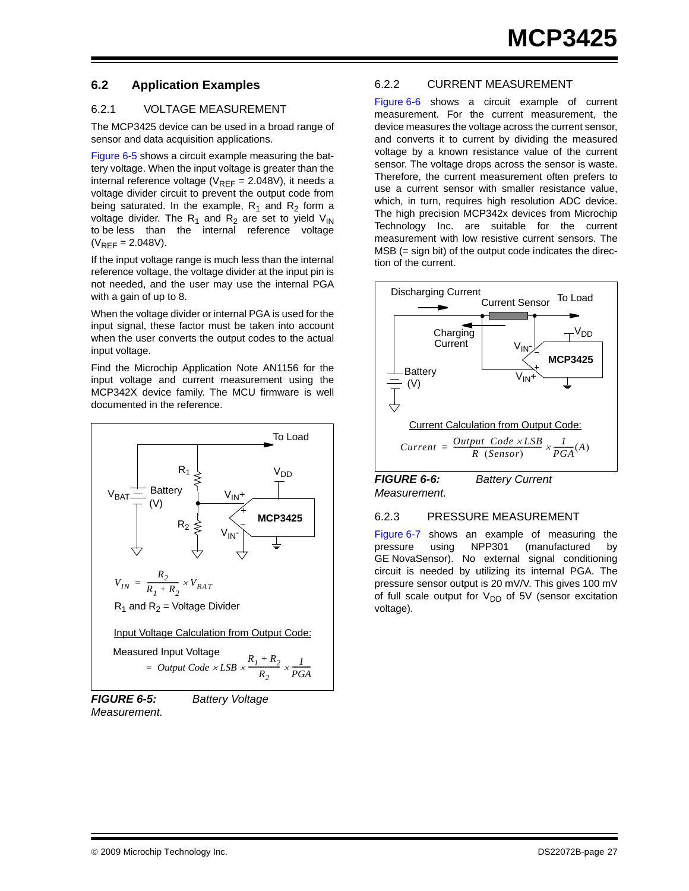# **6.2 Application Examples**

#### 6.2.1 VOLTAGE MEASUREMENT

The MCP3425 device can be used in a broad range of sensor and data acquisition applications.

[Figure 6-5](#page-26-0) shows a circuit example measuring the battery voltage. When the input voltage is greater than the internal reference voltage ( $V_{REF}$  = 2.048V), it needs a voltage divider circuit to prevent the output code from being saturated. In the example,  $R_1$  and  $R_2$  form a voltage divider. The R<sub>1</sub> and R<sub>2</sub> are set to yield V<sub>IN</sub> to be less than the internal reference voltage  $(V_{REF} = 2.048V)$ .

If the input voltage range is much less than the internal reference voltage, the voltage divider at the input pin is not needed, and the user may use the internal PGA with a gain of up to 8.

When the voltage divider or internal PGA is used for the input signal, these factor must be taken into account when the user converts the output codes to the actual input voltage.

Find the Microchip Application Note AN1156 for the input voltage and current measurement using the MCP342X device family. The MCU firmware is well documented in the reference.



<span id="page-26-0"></span>*FIGURE 6-5: Battery Voltage Measurement.*

#### 6.2.2 CURRENT MEASUREMENT

[Figure 6-6](#page-26-1) shows a circuit example of current measurement. For the current measurement, the device measures the voltage across the current sensor, and converts it to current by dividing the measured voltage by a known resistance value of the current sensor. The voltage drops across the sensor is waste. Therefore, the current measurement often prefers to use a current sensor with smaller resistance value, which, in turn, requires high resolution ADC device. The high precision MCP342x devices from Microchip Technology Inc. are suitable for the current measurement with low resistive current sensors. The MSB (= sign bit) of the output code indicates the direction of the current.



#### <span id="page-26-1"></span>*FIGURE 6-6: Battery Current Measurement.*

#### 6.2.3 PRESSURE MEASUREMENT

[Figure 6-7](#page-27-0) shows an example of measuring the pressure using NPP301 (manufactured by GE NovaSensor). No external signal conditioning circuit is needed by utilizing its internal PGA. The pressure sensor output is 20 mV/V. This gives 100 mV of full scale output for  $V_{DD}$  of 5V (sensor excitation voltage).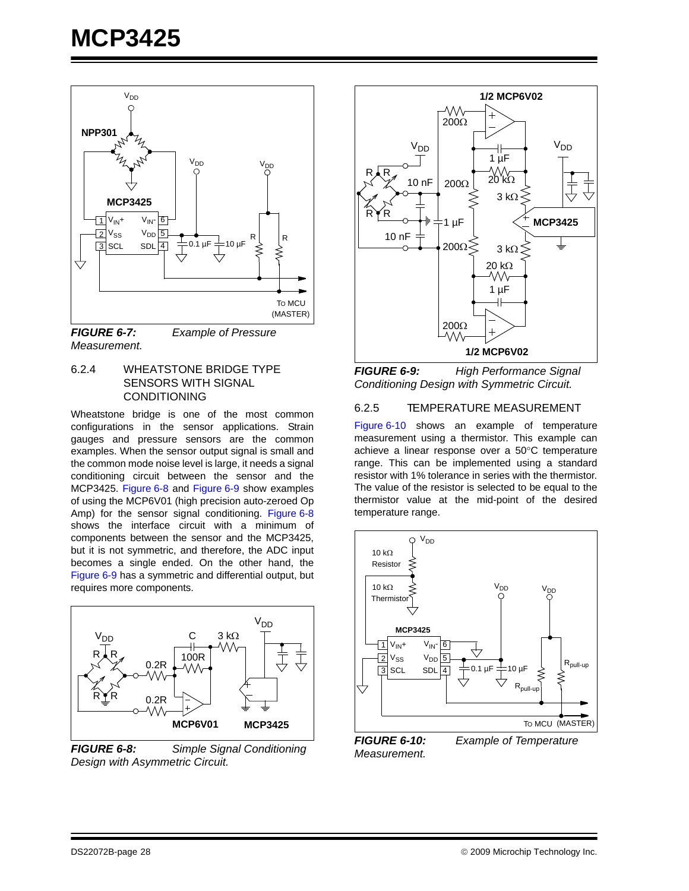

<span id="page-27-0"></span>*FIGURE 6-7: Example of Pressure Measurement.*

#### 6.2.4 WHEATSTONE BRIDGE TYPE SENSORS WITH SIGNAL CONDITIONING

Wheatstone bridge is one of the most common configurations in the sensor applications. Strain gauges and pressure sensors are the common examples. When the sensor output signal is small and the common mode noise level is large, it needs a signal conditioning circuit between the sensor and the MCP3425. [Figure 6-8](#page-27-1) and [Figure 6-9](#page-27-2) show examples of using the MCP6V01 (high precision auto-zeroed Op Amp) for the sensor signal conditioning. [Figure 6-8](#page-27-1) shows the interface circuit with a minimum of components between the sensor and the MCP3425, but it is not symmetric, and therefore, the ADC input becomes a single ended. On the other hand, the [Figure 6-9](#page-27-2) has a symmetric and differential output, but requires more components.



<span id="page-27-1"></span>*FIGURE 6-8: Simple Signal Conditioning Design with Asymmetric Circuit.*



<span id="page-27-2"></span>*FIGURE 6-9: High Performance Signal Conditioning Design with Symmetric Circuit.*

#### 6.2.5 TEMPERATURE MEASUREMENT

[Figure 6-10](#page-27-3) shows an example of temperature measurement using a thermistor. This example can achieve a linear response over a 50°C temperature range. This can be implemented using a standard resistor with 1% tolerance in series with the thermistor. The value of the resistor is selected to be equal to the thermistor value at the mid-point of the desired temperature range.



*Measurement.*

<span id="page-27-3"></span>*FIGURE 6-10: Example of Temperature*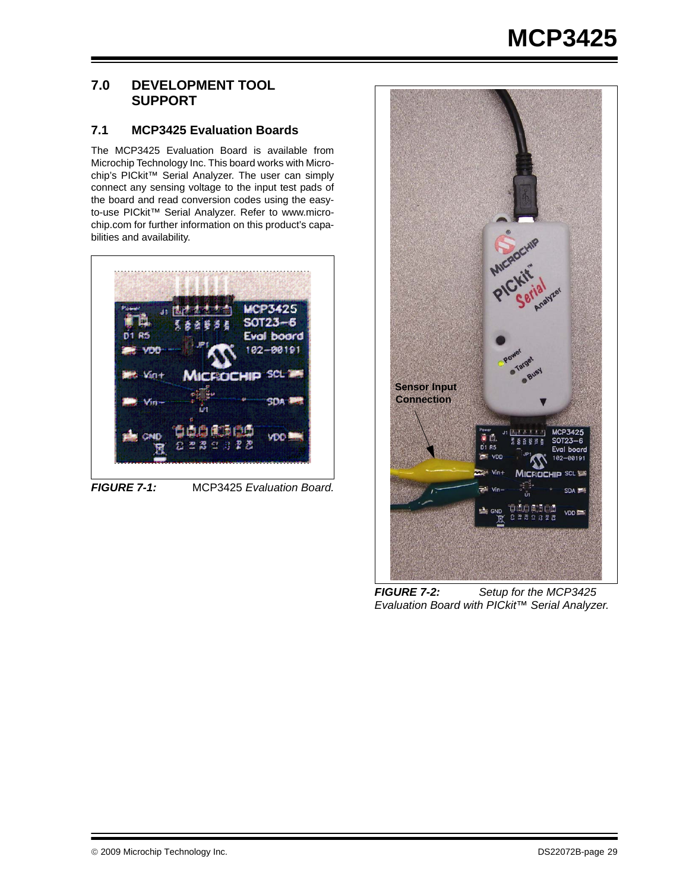# <span id="page-28-0"></span>**7.0 DEVELOPMENT TOOL SUPPORT**

# **7.1 MCP3425 Evaluation Boards**

The MCP3425 Evaluation Board is available from Microchip Technology Inc. This board works with Microchip's PICkit™ Serial Analyzer. The user can simply connect any sensing voltage to the input test pads of the board and read conversion codes using the easyto-use PICkit™ Serial Analyzer. Refer [to www.micro](www.microchip.com)[chip.com for further information on this product's capa](www.microchip.com)bilities and availability.



*FIGURE 7-1:* MCP3425 *Evaluation Board.*



*FIGURE 7-2: Setup for the MCP3425 Evaluation Board with PICkit™ Serial Analyzer.*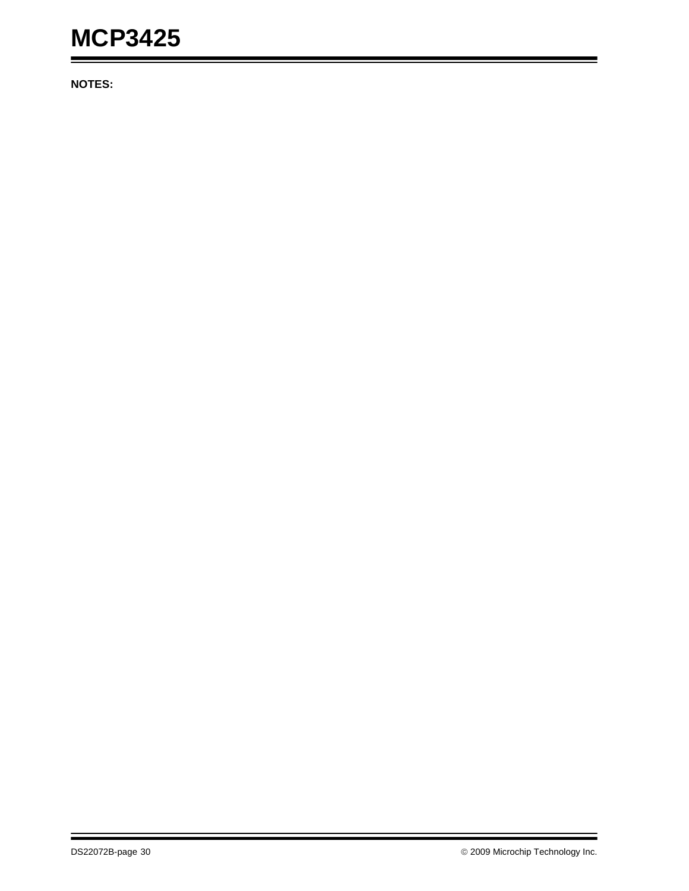**NOTES:**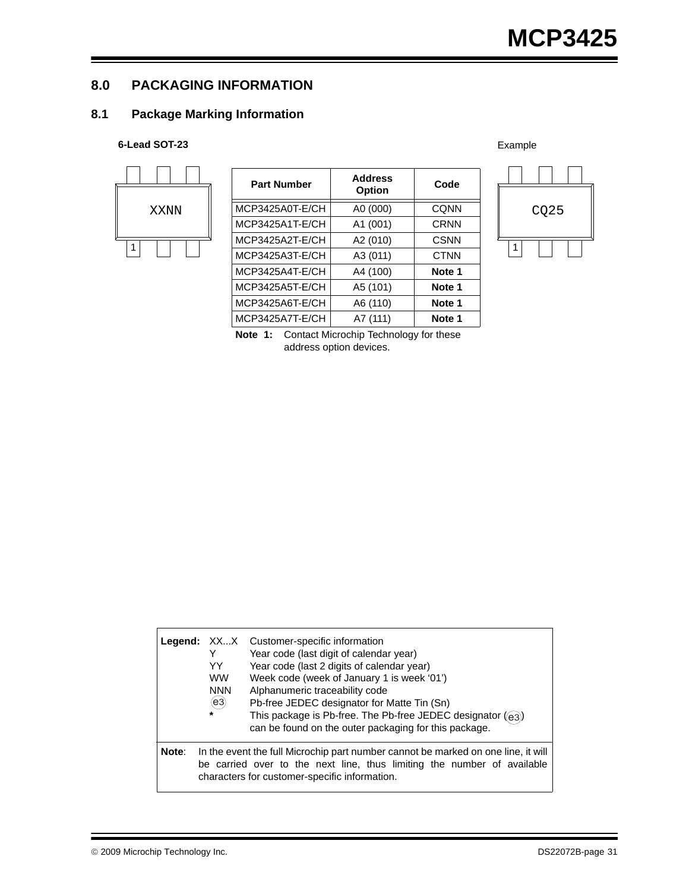# <span id="page-30-1"></span>**8.0 PACKAGING INFORMATION**

# **8.1 Package Marking Information**

#### **6-Lead SOT-23**



| <b>Part Number</b> | <b>Address</b><br><b>Option</b> | Code        |
|--------------------|---------------------------------|-------------|
| MCP3425A0T-E/CH    | A0 (000)                        | <b>CONN</b> |
| MCP3425A1T-E/CH    | A1 (001)                        | CRNN        |
| MCP3425A2T-E/CH    | A2 (010)                        | <b>CSNN</b> |
| MCP3425A3T-E/CH    | A3 (011)                        | <b>CTNN</b> |
| MCP3425A4T-E/CH    | A4 (100)                        | Note 1      |
| MCP3425A5T-E/CH    | A5 (101)                        | Note 1      |
| MCP3425A6T-E/CH    | A6 (110)                        | Note 1      |
| MCP3425A7T-E/CH    | A7 (111)                        | Note 1      |





<span id="page-30-0"></span>**Note 1:** Contact Microchip Technology for these address option devices.

|       | YY<br><b>WW</b><br><b>NNN</b><br>(e3)<br>$\ast$ | <b>Legend:</b> XXX Customer-specific information<br>Year code (last digit of calendar year)<br>Year code (last 2 digits of calendar year)<br>Week code (week of January 1 is week '01')<br>Alphanumeric traceability code<br>Pb-free JEDEC designator for Matte Tin (Sn)<br>This package is Pb-free. The Pb-free JEDEC designator $(q_3)$<br>can be found on the outer packaging for this package. |
|-------|-------------------------------------------------|----------------------------------------------------------------------------------------------------------------------------------------------------------------------------------------------------------------------------------------------------------------------------------------------------------------------------------------------------------------------------------------------------|
| Note: |                                                 | In the event the full Microchip part number cannot be marked on one line, it will<br>be carried over to the next line, thus limiting the number of available<br>characters for customer-specific information.                                                                                                                                                                                      |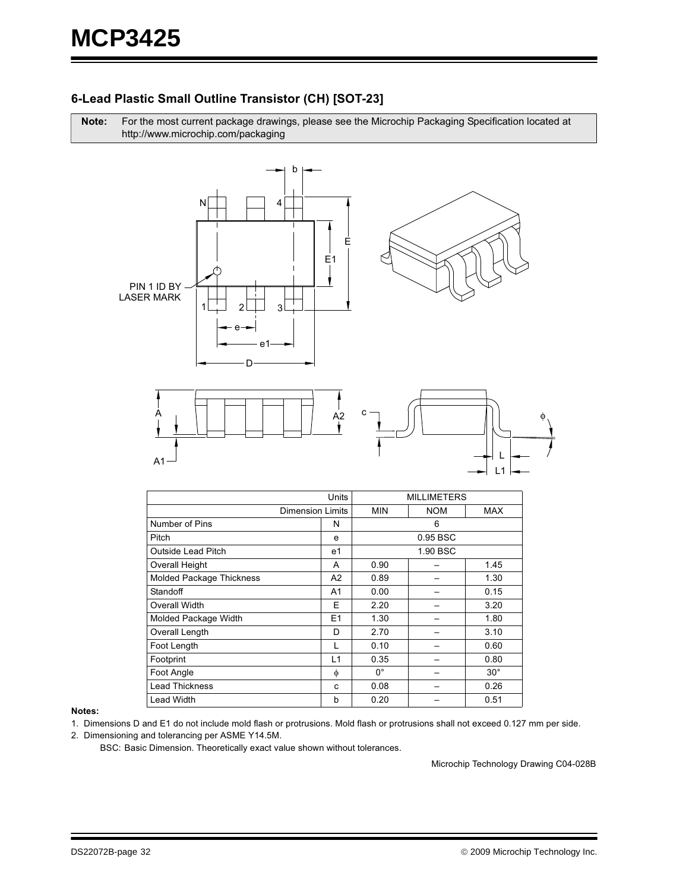# 6-Lead Plastic Small Outline Transistor (CH) [SOT-23]

Note: For the most current package drawings, please see the Microchip Packaging Specification located at http://www.microchip.com/packaging



|                                 | Units          | <b>MILLIMETERS</b> |            |            |  |
|---------------------------------|----------------|--------------------|------------|------------|--|
| <b>Dimension Limits</b>         |                | <b>MIN</b>         | <b>NOM</b> | MAX        |  |
| Number of Pins                  | N              |                    | 6          |            |  |
| Pitch                           | e              |                    | 0.95 BSC   |            |  |
| Outside Lead Pitch              | e1             |                    | 1.90 BSC   |            |  |
| <b>Overall Height</b>           | A              | 0.90               |            | 1.45       |  |
| <b>Molded Package Thickness</b> | A2             | 0.89               |            | 1.30       |  |
| Standoff                        | A1             | 0.00               |            | 0.15       |  |
| Overall Width                   | E              | 2.20               |            | 3.20       |  |
| Molded Package Width            | E <sub>1</sub> | 1.30               |            | 1.80       |  |
| Overall Length                  | D              | 2.70               |            | 3.10       |  |
| Foot Length                     | L              | 0.10               |            | 0.60       |  |
| Footprint                       | L1             | 0.35               |            | 0.80       |  |
| Foot Angle                      | $\phi$         | $0^{\circ}$        |            | $30^\circ$ |  |
| <b>Lead Thickness</b>           | C              | 0.08               |            | 0.26       |  |
| <b>Lead Width</b>               | b              | 0.20               |            | 0.51       |  |

#### Notes:

- 1. Dimensions D and E1 do not include mold flash or protrusions. Mold flash or protrusions shall not exceed 0.127 mm per side.
- 2. Dimensioning and tolerancing per ASME Y14.5M.

BSC: Basic Dimension. Theoretically exact value shown without tolerances.

Microchip Technology Drawing C04-028B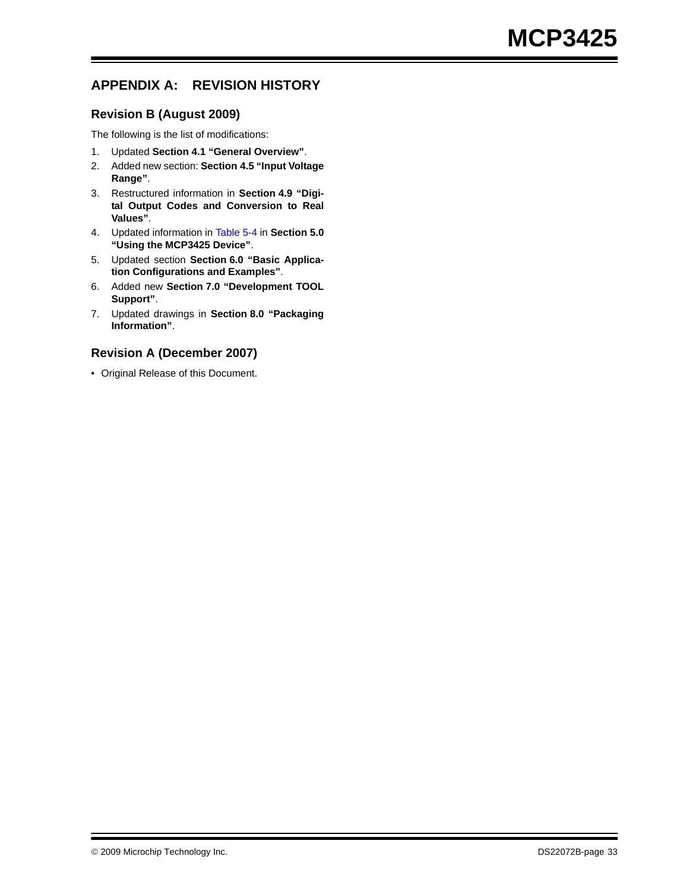# **APPENDIX A: REVISION HISTORY**

# **Revision B (August 2009)**

The following is the list of modifications:

- 1. Updated **[Section 4.1 "General Overview"](#page-8-2)**.
- 2. Added new section: **[Section 4.5 "Input Voltage](#page-9-0) [Range"](#page-9-0)**.
- 3. Restructured information in **[Section 4.9 "Digi](#page-10-4)[tal Output Codes and Conversion to Real](#page-10-4) [Values"](#page-10-4)**.
- 4. Updated information in [Table 5-4](#page-20-4) in **[Section 5.0](#page-12-0) ["Using the MCP3425 Device"](#page-12-0)**.
- 5. Updated section **[Section 6.0 "Basic Applica](#page-24-2)[tion Configurations and Examples"](#page-24-2)**.
- 6. Added new **[Section 7.0 "Development TOOL](#page-28-0) [Support"](#page-28-0)**.
- 7. Updated drawings in **[Section 8.0 "Packaging](#page-30-1) [Information"](#page-30-1)**.

# **Revision A (December 2007)**

• Original Release of this Document.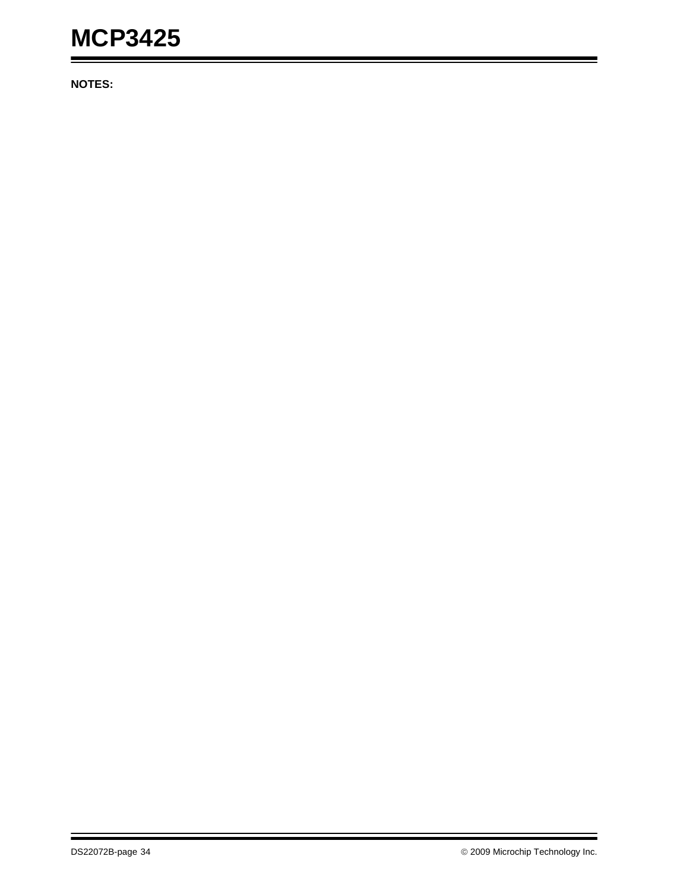**NOTES:**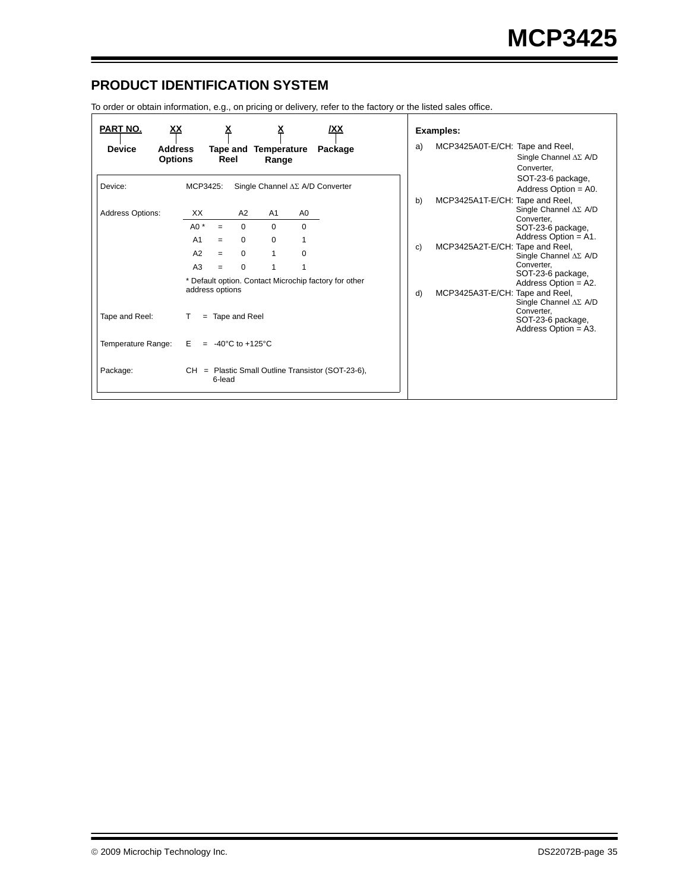# **PRODUCT IDENTIFICATION SYSTEM**

To order or obtain information, e.g., on pricing or delivery, refer to the factory or the listed sales office.

| PART NO.           | <u>xx</u>                        | <u>х</u> |                             |                               |                | /XX                                                   |              | Examples:                                                                                               |
|--------------------|----------------------------------|----------|-----------------------------|-------------------------------|----------------|-------------------------------------------------------|--------------|---------------------------------------------------------------------------------------------------------|
| <b>Device</b>      | <b>Address</b><br><b>Options</b> | Reel     |                             | Tape and Temperature<br>Range |                | Package                                               | a)           | MCP3425A0T-E/CH: Tape and Reel,<br>Single Channel $\Delta\Sigma$ A/D<br>Converter,<br>SOT-23-6 package, |
| Device:            | MCP3425:                         |          |                             |                               |                | Single Channel ∆∑ A/D Converter                       |              | Address Option = A0.                                                                                    |
| Address Options:   | XX.                              |          | A2                          | A <sub>1</sub>                | A <sub>0</sub> |                                                       | b)           | MCP3425A1T-E/CH: Tape and Reel,<br>Single Channel $\Delta\Sigma$ A/D<br>Converter.                      |
|                    | A0 $*$                           | $=$      | 0                           | $\Omega$                      | $\Omega$       |                                                       |              | SOT-23-6 package,                                                                                       |
|                    | A <sub>1</sub>                   | $=$      | $\Omega$                    | $\Omega$                      |                |                                                       | $\mathbf{C}$ | Address Option = A1.<br>MCP3425A2T-E/CH: Tape and Reel,                                                 |
|                    | A2                               | $=$      | $\Omega$                    | 1                             | 0              |                                                       |              | Single Channel $\Delta\Sigma$ A/D                                                                       |
|                    | A3                               | $=$      | $\Omega$                    |                               |                |                                                       |              | Converter.<br>SOT-23-6 package,                                                                         |
|                    | address options                  |          |                             |                               |                | * Default option. Contact Microchip factory for other | d)           | Address Option = A2.<br>MCP3425A3T-E/CH: Tape and Reel,<br>Single Channel $\Delta\Sigma$ A/D            |
| Tape and Reel:     | T.                               |          | $=$ Tape and Reel           |                               |                |                                                       |              | Converter.<br>SOT-23-6 package,<br>Address Option = A3.                                                 |
| Temperature Range: | E                                |          | $= -40^{\circ}$ C to +125°C |                               |                |                                                       |              |                                                                                                         |
| Package:           |                                  | 6-lead   |                             |                               |                | $CH =$ Plastic Small Outline Transistor (SOT-23-6),   |              |                                                                                                         |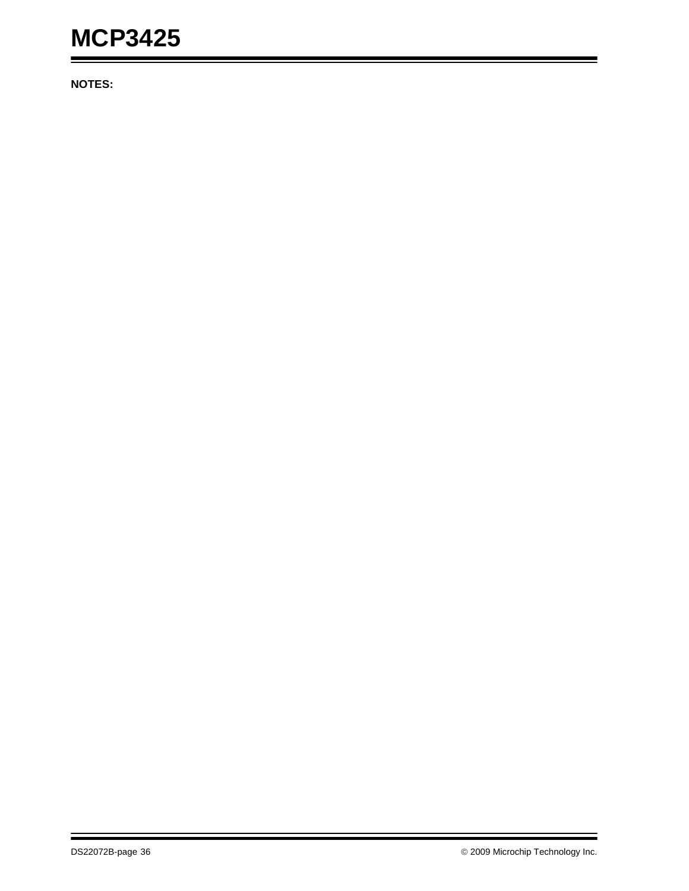**NOTES:**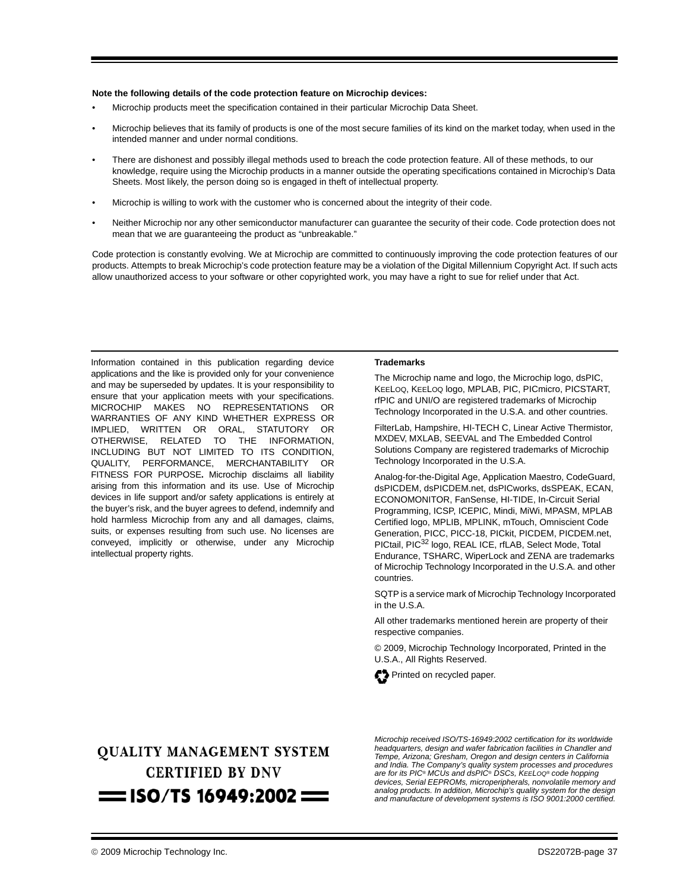#### **Note the following details of the code protection feature on Microchip devices:**

- Microchip products meet the specification contained in their particular Microchip Data Sheet.
- Microchip believes that its family of products is one of the most secure families of its kind on the market today, when used in the intended manner and under normal conditions.
- There are dishonest and possibly illegal methods used to breach the code protection feature. All of these methods, to our knowledge, require using the Microchip products in a manner outside the operating specifications contained in Microchip's Data Sheets. Most likely, the person doing so is engaged in theft of intellectual property.
- Microchip is willing to work with the customer who is concerned about the integrity of their code.
- Neither Microchip nor any other semiconductor manufacturer can guarantee the security of their code. Code protection does not mean that we are guaranteeing the product as "unbreakable."

Code protection is constantly evolving. We at Microchip are committed to continuously improving the code protection features of our products. Attempts to break Microchip's code protection feature may be a violation of the Digital Millennium Copyright Act. If such acts allow unauthorized access to your software or other copyrighted work, you may have a right to sue for relief under that Act.

Information contained in this publication regarding device applications and the like is provided only for your convenience and may be superseded by updates. It is your responsibility to ensure that your application meets with your specifications. MICROCHIP MAKES NO REPRESENTATIONS OR WARRANTIES OF ANY KIND WHETHER EXPRESS OR IMPLIED, WRITTEN OR ORAL, STATUTORY OR OTHERWISE, RELATED TO THE INFORMATION, INCLUDING BUT NOT LIMITED TO ITS CONDITION, QUALITY, PERFORMANCE, MERCHANTABILITY OR FITNESS FOR PURPOSE**.** Microchip disclaims all liability arising from this information and its use. Use of Microchip devices in life support and/or safety applications is entirely at the buyer's risk, and the buyer agrees to defend, indemnify and hold harmless Microchip from any and all damages, claims, suits, or expenses resulting from such use. No licenses are conveyed, implicitly or otherwise, under any Microchip intellectual property rights.

#### **Trademarks**

The Microchip name and logo, the Microchip logo, dsPIC, KEELOQ, KEELOQ logo, MPLAB, PIC, PICmicro, PICSTART, rfPIC and UNI/O are registered trademarks of Microchip Technology Incorporated in the U.S.A. and other countries.

FilterLab, Hampshire, HI-TECH C, Linear Active Thermistor, MXDEV, MXLAB, SEEVAL and The Embedded Control Solutions Company are registered trademarks of Microchip Technology Incorporated in the U.S.A.

Analog-for-the-Digital Age, Application Maestro, CodeGuard, dsPICDEM, dsPICDEM.net, dsPICworks, dsSPEAK, ECAN, ECONOMONITOR, FanSense, HI-TIDE, In-Circuit Serial Programming, ICSP, ICEPIC, Mindi, MiWi, MPASM, MPLAB Certified logo, MPLIB, MPLINK, mTouch, Omniscient Code Generation, PICC, PICC-18, PICkit, PICDEM, PICDEM.net, PICtail, PIC<sup>32</sup> logo, REAL ICE, rfLAB, Select Mode, Total Endurance, TSHARC, WiperLock and ZENA are trademarks of Microchip Technology Incorporated in the U.S.A. and other countries.

SQTP is a service mark of Microchip Technology Incorporated in the U.S.A.

All other trademarks mentioned herein are property of their respective companies.

© 2009, Microchip Technology Incorporated, Printed in the U.S.A., All Rights Reserved.



# **OUALITY MANAGEMENT SYSTEM CERTIFIED BY DNV**  $=$  ISO/TS 16949:2002  $=$

*Microchip received ISO/TS-16949:2002 certification for its worldwide headquarters, design and wafer fabrication facilities in Chandler and Tempe, Arizona; Gresham, Oregon and design centers in California and India. The Company's quality system processes and procedures are for its PIC® MCUs and dsPIC® DSCs, KEELOQ® code hopping devices, Serial EEPROMs, microperipherals, nonvolatile memory and analog products. In addition, Microchip's quality system for the design and manufacture of development systems is ISO 9001:2000 certified.*